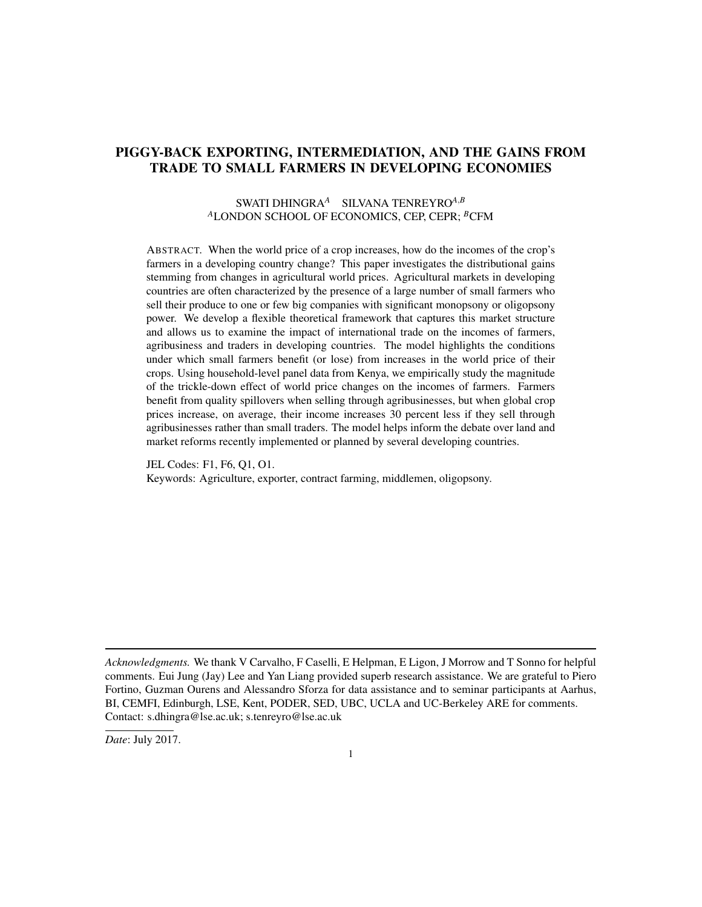# PIGGY-BACK EXPORTING, INTERMEDIATION, AND THE GAINS FROM TRADE TO SMALL FARMERS IN DEVELOPING ECONOMIES

## SWATI DHINGRA*<sup>A</sup>* SILVANA TENREYRO*A*,*<sup>B</sup>* <sup>A</sup>LONDON SCHOOL OF ECONOMICS, CEP, CEPR; <sup>B</sup>CFM

ABSTRACT. When the world price of a crop increases, how do the incomes of the crop's farmers in a developing country change? This paper investigates the distributional gains stemming from changes in agricultural world prices. Agricultural markets in developing countries are often characterized by the presence of a large number of small farmers who sell their produce to one or few big companies with significant monopsony or oligopsony power. We develop a flexible theoretical framework that captures this market structure and allows us to examine the impact of international trade on the incomes of farmers, agribusiness and traders in developing countries. The model highlights the conditions under which small farmers benefit (or lose) from increases in the world price of their crops. Using household-level panel data from Kenya, we empirically study the magnitude of the trickle-down effect of world price changes on the incomes of farmers. Farmers benefit from quality spillovers when selling through agribusinesses, but when global crop prices increase, on average, their income increases 30 percent less if they sell through agribusinesses rather than small traders. The model helps inform the debate over land and market reforms recently implemented or planned by several developing countries.

JEL Codes: F1, F6, Q1, O1. Keywords: Agriculture, exporter, contract farming, middlemen, oligopsony.

*Acknowledgments.* We thank V Carvalho, F Caselli, E Helpman, E Ligon, J Morrow and T Sonno for helpful comments. Eui Jung (Jay) Lee and Yan Liang provided superb research assistance. We are grateful to Piero Fortino, Guzman Ourens and Alessandro Sforza for data assistance and to seminar participants at Aarhus, BI, CEMFI, Edinburgh, LSE, Kent, PODER, SED, UBC, UCLA and UC-Berkeley ARE for comments. Contact: s.dhingra@lse.ac.uk; s.tenreyro@lse.ac.uk

*Date*: July 2017.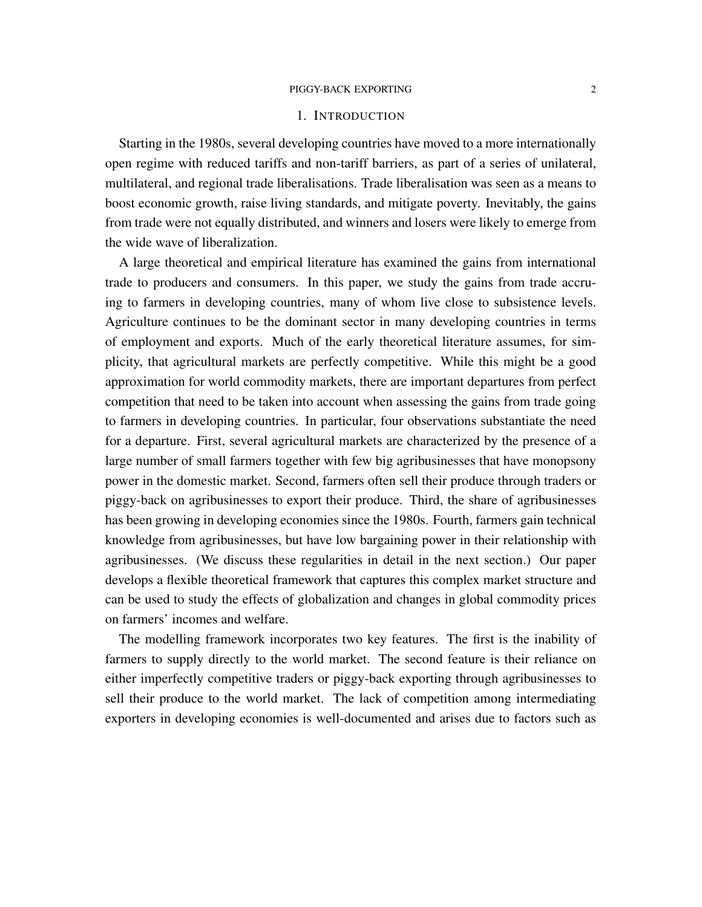#### 1. INTRODUCTION

Starting in the 1980s, several developing countries have moved to a more internationally open regime with reduced tariffs and non-tariff barriers, as part of a series of unilateral, multilateral, and regional trade liberalisations. Trade liberalisation was seen as a means to boost economic growth, raise living standards, and mitigate poverty. Inevitably, the gains from trade were not equally distributed, and winners and losers were likely to emerge from the wide wave of liberalization.

A large theoretical and empirical literature has examined the gains from international trade to producers and consumers. In this paper, we study the gains from trade accruing to farmers in developing countries, many of whom live close to subsistence levels. Agriculture continues to be the dominant sector in many developing countries in terms of employment and exports. Much of the early theoretical literature assumes, for simplicity, that agricultural markets are perfectly competitive. While this might be a good approximation for world commodity markets, there are important departures from perfect competition that need to be taken into account when assessing the gains from trade going to farmers in developing countries. In particular, four observations substantiate the need for a departure. First, several agricultural markets are characterized by the presence of a large number of small farmers together with few big agribusinesses that have monopsony power in the domestic market. Second, farmers often sell their produce through traders or piggy-back on agribusinesses to export their produce. Third, the share of agribusinesses has been growing in developing economies since the 1980s. Fourth, farmers gain technical knowledge from agribusinesses, but have low bargaining power in their relationship with agribusinesses. (We discuss these regularities in detail in the next section.) Our paper develops a flexible theoretical framework that captures this complex market structure and can be used to study the effects of globalization and changes in global commodity prices on farmers' incomes and welfare.

The modelling framework incorporates two key features. The first is the inability of farmers to supply directly to the world market. The second feature is their reliance on either imperfectly competitive traders or piggy-back exporting through agribusinesses to sell their produce to the world market. The lack of competition among intermediating exporters in developing economies is well-documented and arises due to factors such as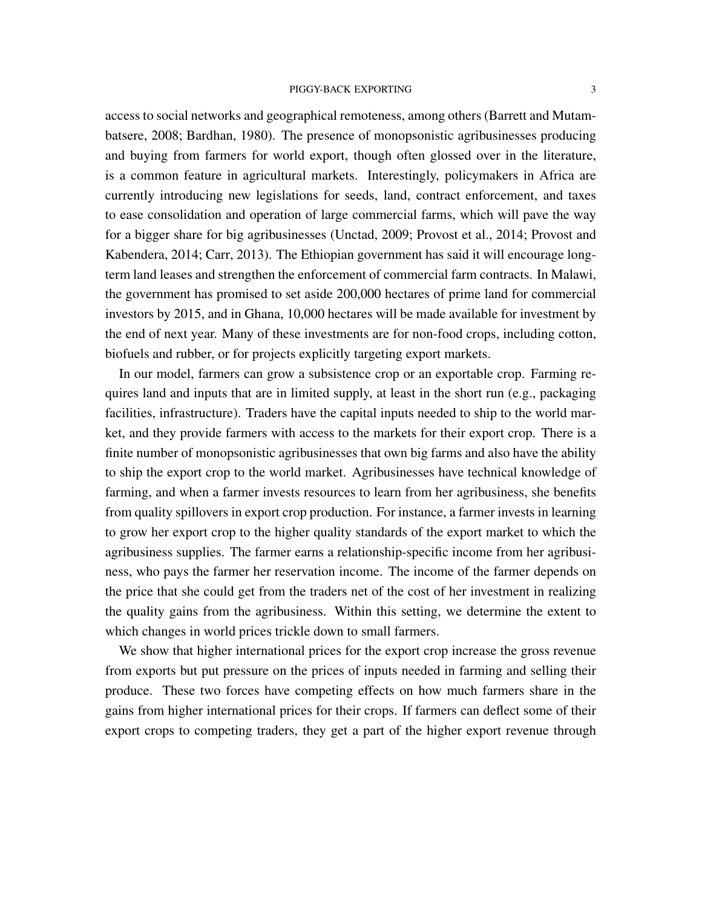access to social networks and geographical remoteness, among others (Barrett and Mutambatsere, 2008; Bardhan, 1980). The presence of monopsonistic agribusinesses producing and buying from farmers for world export, though often glossed over in the literature, is a common feature in agricultural markets. Interestingly, policymakers in Africa are currently introducing new legislations for seeds, land, contract enforcement, and taxes to ease consolidation and operation of large commercial farms, which will pave the way for a bigger share for big agribusinesses (Unctad, 2009; Provost et al., 2014; Provost and Kabendera, 2014; Carr, 2013). The Ethiopian government has said it will encourage longterm land leases and strengthen the enforcement of commercial farm contracts. In Malawi, the government has promised to set aside 200,000 hectares of prime land for commercial investors by 2015, and in Ghana, 10,000 hectares will be made available for investment by the end of next year. Many of these investments are for non-food crops, including cotton, biofuels and rubber, or for projects explicitly targeting export markets.

In our model, farmers can grow a subsistence crop or an exportable crop. Farming requires land and inputs that are in limited supply, at least in the short run (e.g., packaging facilities, infrastructure). Traders have the capital inputs needed to ship to the world market, and they provide farmers with access to the markets for their export crop. There is a finite number of monopsonistic agribusinesses that own big farms and also have the ability to ship the export crop to the world market. Agribusinesses have technical knowledge of farming, and when a farmer invests resources to learn from her agribusiness, she benefits from quality spillovers in export crop production. For instance, a farmer invests in learning to grow her export crop to the higher quality standards of the export market to which the agribusiness supplies. The farmer earns a relationship-specific income from her agribusiness, who pays the farmer her reservation income. The income of the farmer depends on the price that she could get from the traders net of the cost of her investment in realizing the quality gains from the agribusiness. Within this setting, we determine the extent to which changes in world prices trickle down to small farmers.

We show that higher international prices for the export crop increase the gross revenue from exports but put pressure on the prices of inputs needed in farming and selling their produce. These two forces have competing effects on how much farmers share in the gains from higher international prices for their crops. If farmers can deflect some of their export crops to competing traders, they get a part of the higher export revenue through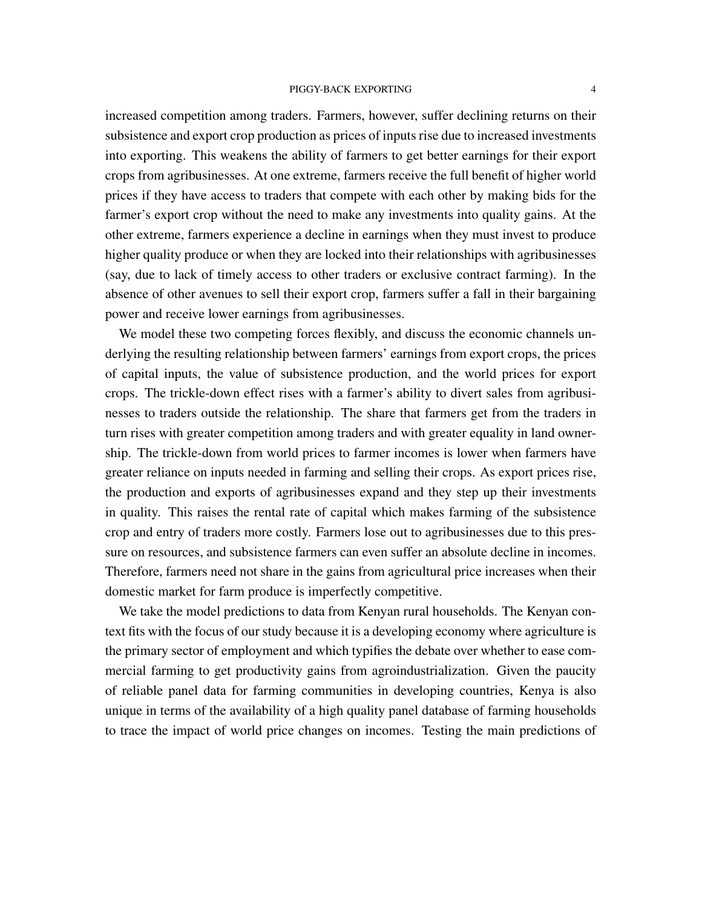increased competition among traders. Farmers, however, suffer declining returns on their subsistence and export crop production as prices of inputs rise due to increased investments into exporting. This weakens the ability of farmers to get better earnings for their export crops from agribusinesses. At one extreme, farmers receive the full benefit of higher world prices if they have access to traders that compete with each other by making bids for the farmer's export crop without the need to make any investments into quality gains. At the other extreme, farmers experience a decline in earnings when they must invest to produce higher quality produce or when they are locked into their relationships with agribusinesses (say, due to lack of timely access to other traders or exclusive contract farming). In the absence of other avenues to sell their export crop, farmers suffer a fall in their bargaining power and receive lower earnings from agribusinesses.

We model these two competing forces flexibly, and discuss the economic channels underlying the resulting relationship between farmers' earnings from export crops, the prices of capital inputs, the value of subsistence production, and the world prices for export crops. The trickle-down effect rises with a farmer's ability to divert sales from agribusinesses to traders outside the relationship. The share that farmers get from the traders in turn rises with greater competition among traders and with greater equality in land ownership. The trickle-down from world prices to farmer incomes is lower when farmers have greater reliance on inputs needed in farming and selling their crops. As export prices rise, the production and exports of agribusinesses expand and they step up their investments in quality. This raises the rental rate of capital which makes farming of the subsistence crop and entry of traders more costly. Farmers lose out to agribusinesses due to this pressure on resources, and subsistence farmers can even suffer an absolute decline in incomes. Therefore, farmers need not share in the gains from agricultural price increases when their domestic market for farm produce is imperfectly competitive.

We take the model predictions to data from Kenyan rural households. The Kenyan context fits with the focus of our study because it is a developing economy where agriculture is the primary sector of employment and which typifies the debate over whether to ease commercial farming to get productivity gains from agroindustrialization. Given the paucity of reliable panel data for farming communities in developing countries, Kenya is also unique in terms of the availability of a high quality panel database of farming households to trace the impact of world price changes on incomes. Testing the main predictions of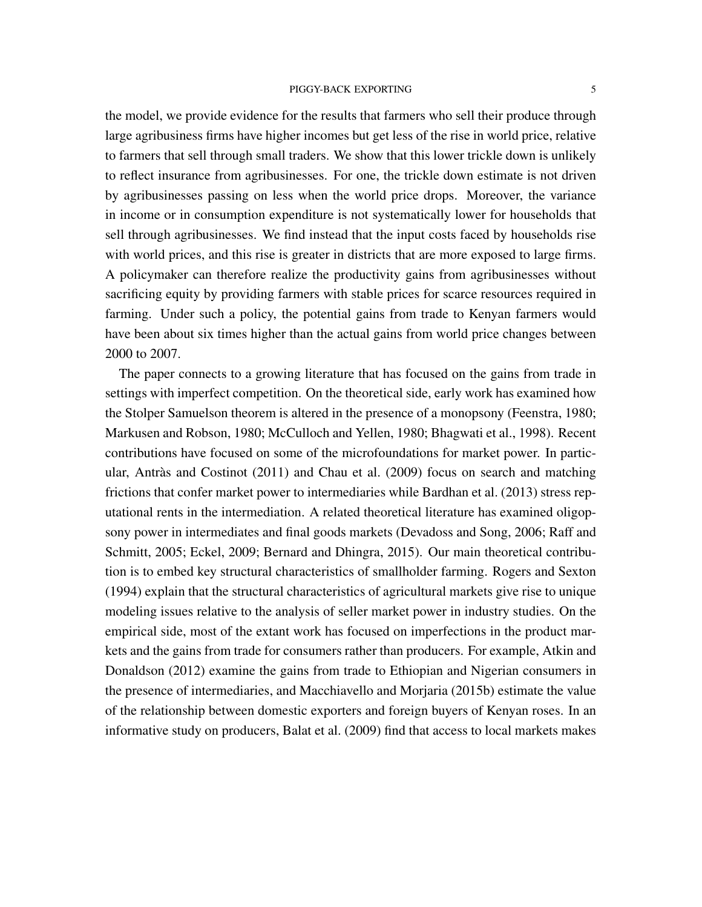the model, we provide evidence for the results that farmers who sell their produce through large agribusiness firms have higher incomes but get less of the rise in world price, relative to farmers that sell through small traders. We show that this lower trickle down is unlikely to reflect insurance from agribusinesses. For one, the trickle down estimate is not driven by agribusinesses passing on less when the world price drops. Moreover, the variance in income or in consumption expenditure is not systematically lower for households that sell through agribusinesses. We find instead that the input costs faced by households rise with world prices, and this rise is greater in districts that are more exposed to large firms. A policymaker can therefore realize the productivity gains from agribusinesses without sacrificing equity by providing farmers with stable prices for scarce resources required in farming. Under such a policy, the potential gains from trade to Kenyan farmers would have been about six times higher than the actual gains from world price changes between 2000 to 2007.

The paper connects to a growing literature that has focused on the gains from trade in settings with imperfect competition. On the theoretical side, early work has examined how the Stolper Samuelson theorem is altered in the presence of a monopsony (Feenstra, 1980; Markusen and Robson, 1980; McCulloch and Yellen, 1980; Bhagwati et al., 1998). Recent contributions have focused on some of the microfoundations for market power. In particular, Antràs and Costinot  $(2011)$  and Chau et al.  $(2009)$  focus on search and matching frictions that confer market power to intermediaries while Bardhan et al. (2013) stress reputational rents in the intermediation. A related theoretical literature has examined oligopsony power in intermediates and final goods markets (Devadoss and Song, 2006; Raff and Schmitt, 2005; Eckel, 2009; Bernard and Dhingra, 2015). Our main theoretical contribution is to embed key structural characteristics of smallholder farming. Rogers and Sexton (1994) explain that the structural characteristics of agricultural markets give rise to unique modeling issues relative to the analysis of seller market power in industry studies. On the empirical side, most of the extant work has focused on imperfections in the product markets and the gains from trade for consumers rather than producers. For example, Atkin and Donaldson (2012) examine the gains from trade to Ethiopian and Nigerian consumers in the presence of intermediaries, and Macchiavello and Morjaria (2015b) estimate the value of the relationship between domestic exporters and foreign buyers of Kenyan roses. In an informative study on producers, Balat et al. (2009) find that access to local markets makes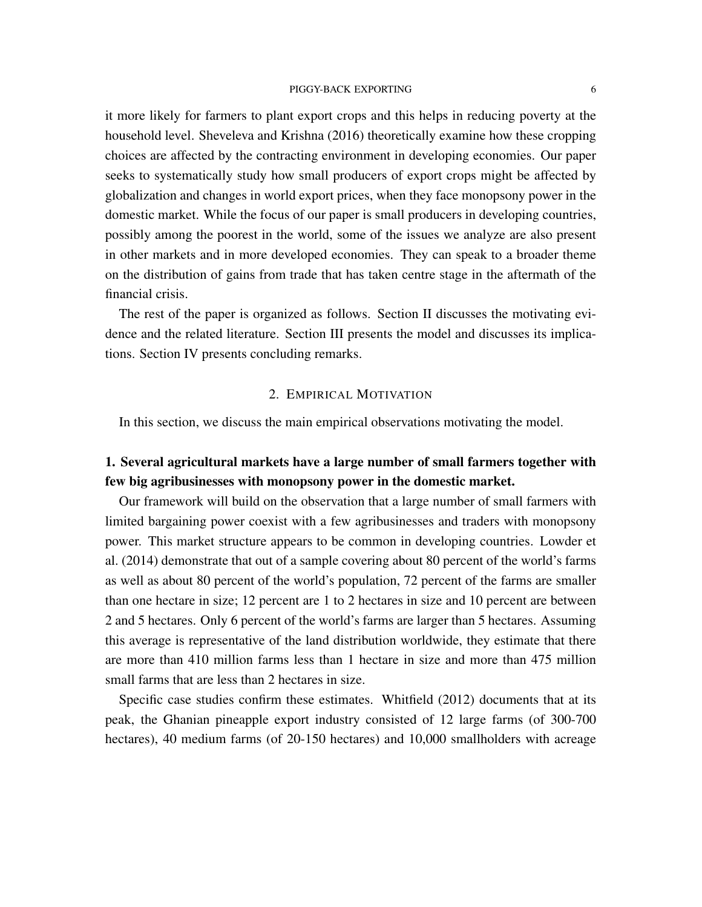it more likely for farmers to plant export crops and this helps in reducing poverty at the household level. Sheveleva and Krishna (2016) theoretically examine how these cropping choices are affected by the contracting environment in developing economies. Our paper seeks to systematically study how small producers of export crops might be affected by globalization and changes in world export prices, when they face monopsony power in the domestic market. While the focus of our paper is small producers in developing countries, possibly among the poorest in the world, some of the issues we analyze are also present in other markets and in more developed economies. They can speak to a broader theme on the distribution of gains from trade that has taken centre stage in the aftermath of the financial crisis.

The rest of the paper is organized as follows. Section II discusses the motivating evidence and the related literature. Section III presents the model and discusses its implications. Section IV presents concluding remarks.

## 2. EMPIRICAL MOTIVATION

In this section, we discuss the main empirical observations motivating the model.

# 1. Several agricultural markets have a large number of small farmers together with few big agribusinesses with monopsony power in the domestic market.

Our framework will build on the observation that a large number of small farmers with limited bargaining power coexist with a few agribusinesses and traders with monopsony power. This market structure appears to be common in developing countries. Lowder et al. (2014) demonstrate that out of a sample covering about 80 percent of the world's farms as well as about 80 percent of the world's population, 72 percent of the farms are smaller than one hectare in size; 12 percent are 1 to 2 hectares in size and 10 percent are between 2 and 5 hectares. Only 6 percent of the world's farms are larger than 5 hectares. Assuming this average is representative of the land distribution worldwide, they estimate that there are more than 410 million farms less than 1 hectare in size and more than 475 million small farms that are less than 2 hectares in size.

Specific case studies confirm these estimates. Whitfield (2012) documents that at its peak, the Ghanian pineapple export industry consisted of 12 large farms (of 300-700 hectares), 40 medium farms (of 20-150 hectares) and 10,000 smallholders with acreage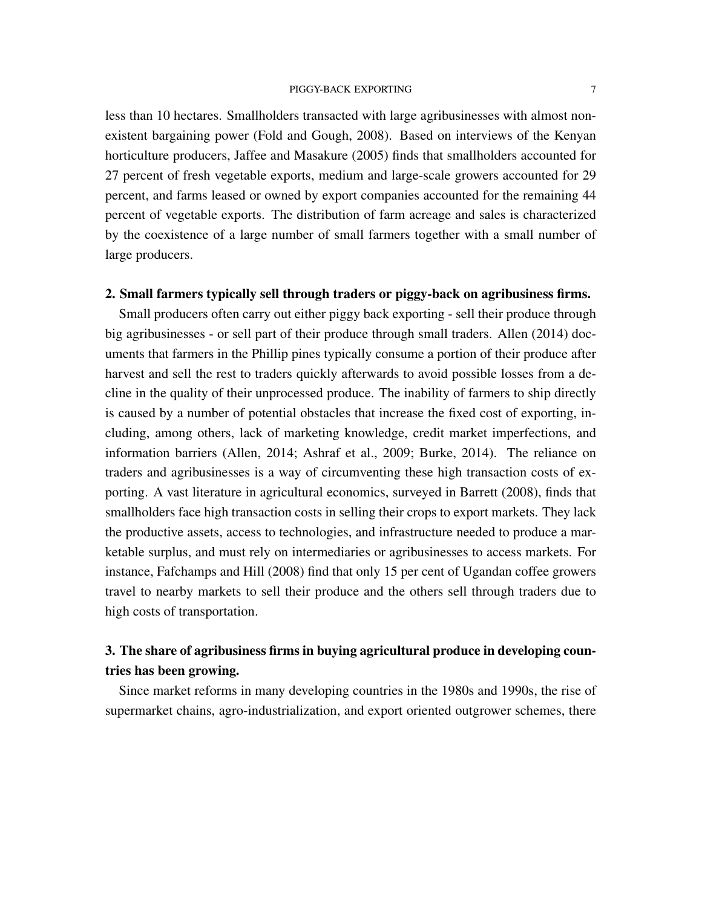less than 10 hectares. Smallholders transacted with large agribusinesses with almost nonexistent bargaining power (Fold and Gough, 2008). Based on interviews of the Kenyan horticulture producers, Jaffee and Masakure (2005) finds that smallholders accounted for 27 percent of fresh vegetable exports, medium and large-scale growers accounted for 29 percent, and farms leased or owned by export companies accounted for the remaining 44 percent of vegetable exports. The distribution of farm acreage and sales is characterized by the coexistence of a large number of small farmers together with a small number of large producers.

## 2. Small farmers typically sell through traders or piggy-back on agribusiness firms.

Small producers often carry out either piggy back exporting - sell their produce through big agribusinesses - or sell part of their produce through small traders. Allen (2014) documents that farmers in the Phillip pines typically consume a portion of their produce after harvest and sell the rest to traders quickly afterwards to avoid possible losses from a decline in the quality of their unprocessed produce. The inability of farmers to ship directly is caused by a number of potential obstacles that increase the fixed cost of exporting, including, among others, lack of marketing knowledge, credit market imperfections, and information barriers (Allen, 2014; Ashraf et al., 2009; Burke, 2014). The reliance on traders and agribusinesses is a way of circumventing these high transaction costs of exporting. A vast literature in agricultural economics, surveyed in Barrett (2008), finds that smallholders face high transaction costs in selling their crops to export markets. They lack the productive assets, access to technologies, and infrastructure needed to produce a marketable surplus, and must rely on intermediaries or agribusinesses to access markets. For instance, Fafchamps and Hill (2008) find that only 15 per cent of Ugandan coffee growers travel to nearby markets to sell their produce and the others sell through traders due to high costs of transportation.

# 3. The share of agribusiness firms in buying agricultural produce in developing countries has been growing.

Since market reforms in many developing countries in the 1980s and 1990s, the rise of supermarket chains, agro-industrialization, and export oriented outgrower schemes, there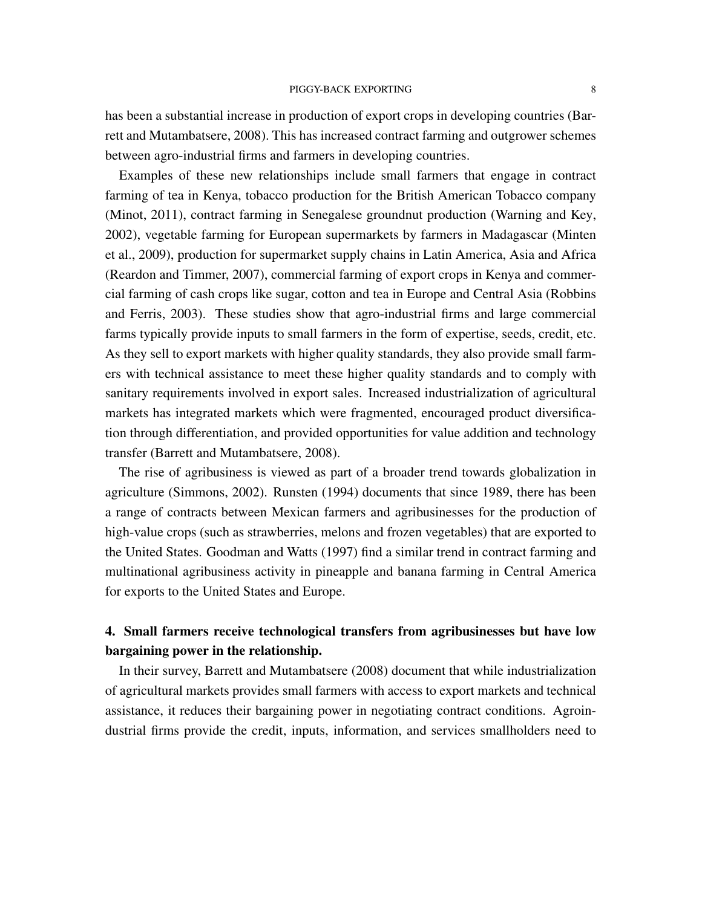has been a substantial increase in production of export crops in developing countries (Barrett and Mutambatsere, 2008). This has increased contract farming and outgrower schemes between agro-industrial firms and farmers in developing countries.

Examples of these new relationships include small farmers that engage in contract farming of tea in Kenya, tobacco production for the British American Tobacco company (Minot, 2011), contract farming in Senegalese groundnut production (Warning and Key, 2002), vegetable farming for European supermarkets by farmers in Madagascar (Minten et al., 2009), production for supermarket supply chains in Latin America, Asia and Africa (Reardon and Timmer, 2007), commercial farming of export crops in Kenya and commercial farming of cash crops like sugar, cotton and tea in Europe and Central Asia (Robbins and Ferris, 2003). These studies show that agro-industrial firms and large commercial farms typically provide inputs to small farmers in the form of expertise, seeds, credit, etc. As they sell to export markets with higher quality standards, they also provide small farmers with technical assistance to meet these higher quality standards and to comply with sanitary requirements involved in export sales. Increased industrialization of agricultural markets has integrated markets which were fragmented, encouraged product diversification through differentiation, and provided opportunities for value addition and technology transfer (Barrett and Mutambatsere, 2008).

The rise of agribusiness is viewed as part of a broader trend towards globalization in agriculture (Simmons, 2002). Runsten (1994) documents that since 1989, there has been a range of contracts between Mexican farmers and agribusinesses for the production of high-value crops (such as strawberries, melons and frozen vegetables) that are exported to the United States. Goodman and Watts (1997) find a similar trend in contract farming and multinational agribusiness activity in pineapple and banana farming in Central America for exports to the United States and Europe.

# 4. Small farmers receive technological transfers from agribusinesses but have low bargaining power in the relationship.

In their survey, Barrett and Mutambatsere (2008) document that while industrialization of agricultural markets provides small farmers with access to export markets and technical assistance, it reduces their bargaining power in negotiating contract conditions. Agroindustrial firms provide the credit, inputs, information, and services smallholders need to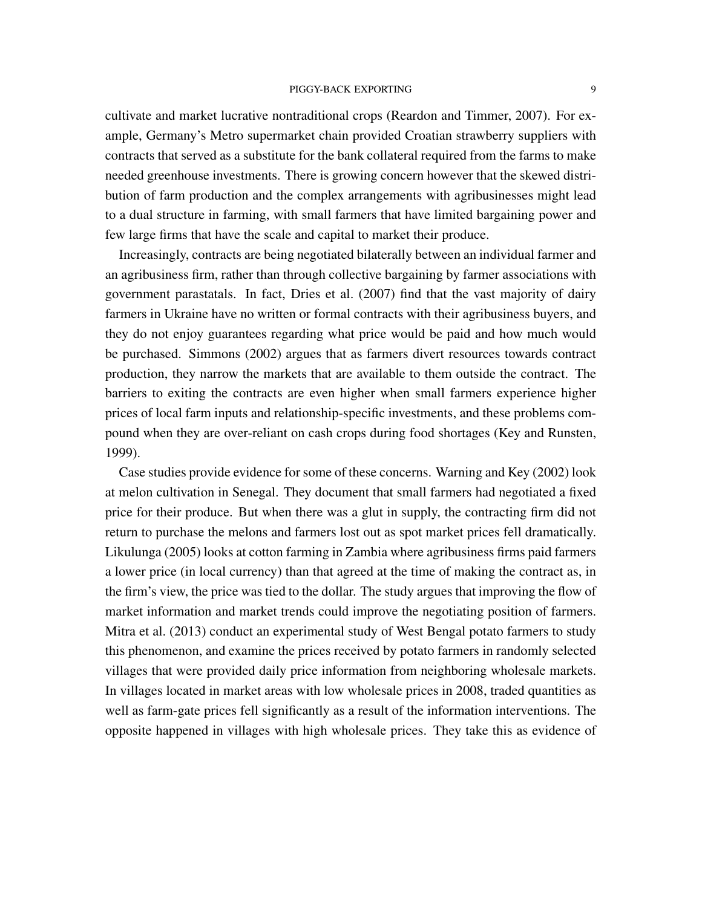cultivate and market lucrative nontraditional crops (Reardon and Timmer, 2007). For example, Germany's Metro supermarket chain provided Croatian strawberry suppliers with contracts that served as a substitute for the bank collateral required from the farms to make needed greenhouse investments. There is growing concern however that the skewed distribution of farm production and the complex arrangements with agribusinesses might lead to a dual structure in farming, with small farmers that have limited bargaining power and few large firms that have the scale and capital to market their produce.

Increasingly, contracts are being negotiated bilaterally between an individual farmer and an agribusiness firm, rather than through collective bargaining by farmer associations with government parastatals. In fact, Dries et al. (2007) find that the vast majority of dairy farmers in Ukraine have no written or formal contracts with their agribusiness buyers, and they do not enjoy guarantees regarding what price would be paid and how much would be purchased. Simmons (2002) argues that as farmers divert resources towards contract production, they narrow the markets that are available to them outside the contract. The barriers to exiting the contracts are even higher when small farmers experience higher prices of local farm inputs and relationship-specific investments, and these problems compound when they are over-reliant on cash crops during food shortages (Key and Runsten, 1999).

Case studies provide evidence for some of these concerns. Warning and Key (2002) look at melon cultivation in Senegal. They document that small farmers had negotiated a fixed price for their produce. But when there was a glut in supply, the contracting firm did not return to purchase the melons and farmers lost out as spot market prices fell dramatically. Likulunga (2005) looks at cotton farming in Zambia where agribusiness firms paid farmers a lower price (in local currency) than that agreed at the time of making the contract as, in the firm's view, the price was tied to the dollar. The study argues that improving the flow of market information and market trends could improve the negotiating position of farmers. Mitra et al. (2013) conduct an experimental study of West Bengal potato farmers to study this phenomenon, and examine the prices received by potato farmers in randomly selected villages that were provided daily price information from neighboring wholesale markets. In villages located in market areas with low wholesale prices in 2008, traded quantities as well as farm-gate prices fell significantly as a result of the information interventions. The opposite happened in villages with high wholesale prices. They take this as evidence of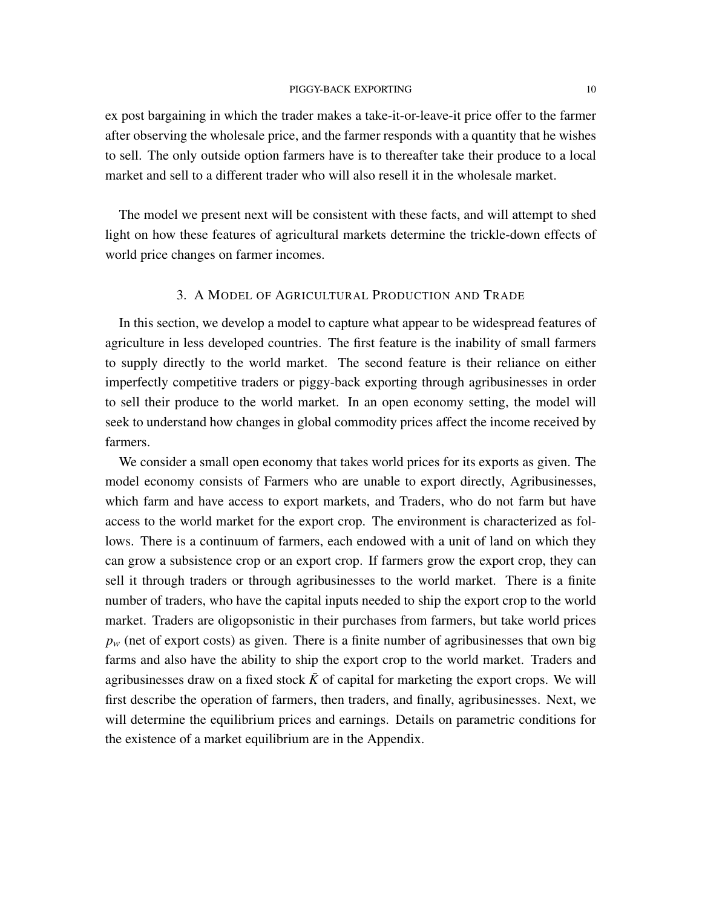ex post bargaining in which the trader makes a take-it-or-leave-it price offer to the farmer after observing the wholesale price, and the farmer responds with a quantity that he wishes to sell. The only outside option farmers have is to thereafter take their produce to a local market and sell to a different trader who will also resell it in the wholesale market.

The model we present next will be consistent with these facts, and will attempt to shed light on how these features of agricultural markets determine the trickle-down effects of world price changes on farmer incomes.

## 3. A MODEL OF AGRICULTURAL PRODUCTION AND TRADE

In this section, we develop a model to capture what appear to be widespread features of agriculture in less developed countries. The first feature is the inability of small farmers to supply directly to the world market. The second feature is their reliance on either imperfectly competitive traders or piggy-back exporting through agribusinesses in order to sell their produce to the world market. In an open economy setting, the model will seek to understand how changes in global commodity prices affect the income received by farmers.

We consider a small open economy that takes world prices for its exports as given. The model economy consists of Farmers who are unable to export directly, Agribusinesses, which farm and have access to export markets, and Traders, who do not farm but have access to the world market for the export crop. The environment is characterized as follows. There is a continuum of farmers, each endowed with a unit of land on which they can grow a subsistence crop or an export crop. If farmers grow the export crop, they can sell it through traders or through agribusinesses to the world market. There is a finite number of traders, who have the capital inputs needed to ship the export crop to the world market. Traders are oligopsonistic in their purchases from farmers, but take world prices  $p_w$  (net of export costs) as given. There is a finite number of agribusinesses that own big farms and also have the ability to ship the export crop to the world market. Traders and agribusinesses draw on a fixed stock  $\bar{K}$  of capital for marketing the export crops. We will first describe the operation of farmers, then traders, and finally, agribusinesses. Next, we will determine the equilibrium prices and earnings. Details on parametric conditions for the existence of a market equilibrium are in the Appendix.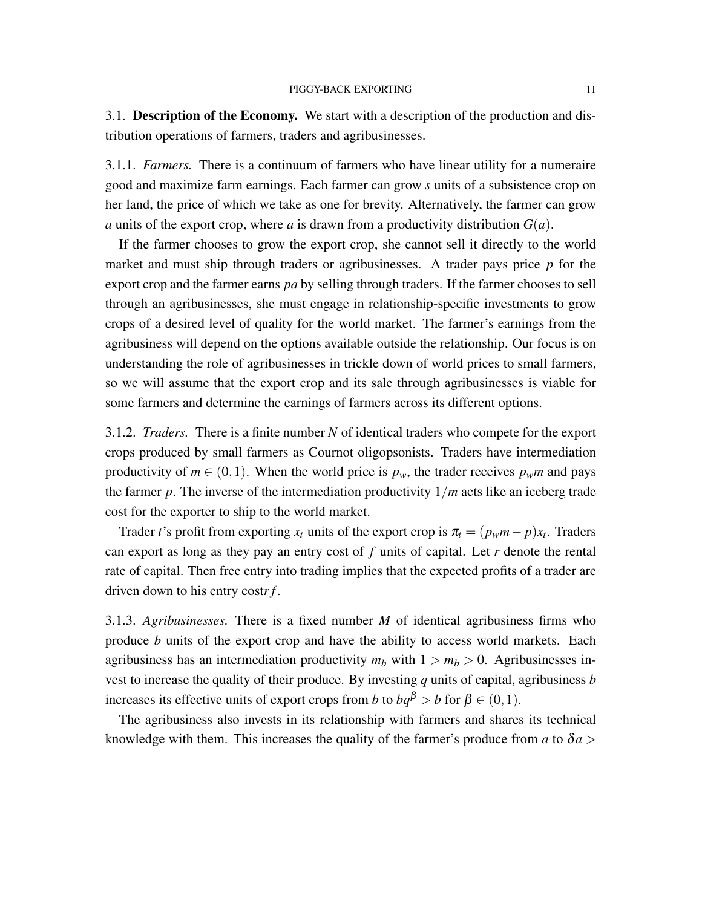3.1. Description of the Economy. We start with a description of the production and distribution operations of farmers, traders and agribusinesses.

3.1.1. *Farmers.* There is a continuum of farmers who have linear utility for a numeraire good and maximize farm earnings. Each farmer can grow *s* units of a subsistence crop on her land, the price of which we take as one for brevity. Alternatively, the farmer can grow *a* units of the export crop, where *a* is drawn from a productivity distribution  $G(a)$ .

If the farmer chooses to grow the export crop, she cannot sell it directly to the world market and must ship through traders or agribusinesses. A trader pays price *p* for the export crop and the farmer earns *pa* by selling through traders. If the farmer chooses to sell through an agribusinesses, she must engage in relationship-specific investments to grow crops of a desired level of quality for the world market. The farmer's earnings from the agribusiness will depend on the options available outside the relationship. Our focus is on understanding the role of agribusinesses in trickle down of world prices to small farmers, so we will assume that the export crop and its sale through agribusinesses is viable for some farmers and determine the earnings of farmers across its different options.

3.1.2. *Traders.* There is a finite number *N* of identical traders who compete for the export crops produced by small farmers as Cournot oligopsonists. Traders have intermediation productivity of  $m \in (0,1)$ . When the world price is  $p_w$ , the trader receives  $p_w m$  and pays the farmer  $p$ . The inverse of the intermediation productivity  $1/m$  acts like an iceberg trade cost for the exporter to ship to the world market.

Trader *t*'s profit from exporting  $x_t$  units of the export crop is  $\pi_t = (p_w m - p)x_t$ . Traders can export as long as they pay an entry cost of *f* units of capital. Let *r* denote the rental rate of capital. Then free entry into trading implies that the expected profits of a trader are driven down to his entry cost*r f* .

3.1.3. *Agribusinesses.* There is a fixed number *M* of identical agribusiness firms who produce *b* units of the export crop and have the ability to access world markets. Each agribusiness has an intermediation productivity  $m_b$  with  $1 > m_b > 0$ . Agribusinesses invest to increase the quality of their produce. By investing *q* units of capital, agribusiness *b* increases its effective units of export crops from *b* to  $bq^{\beta} > b$  for  $\beta \in (0,1)$ .

The agribusiness also invests in its relationship with farmers and shares its technical knowledge with them. This increases the quality of the farmer's produce from *a* to  $\delta a$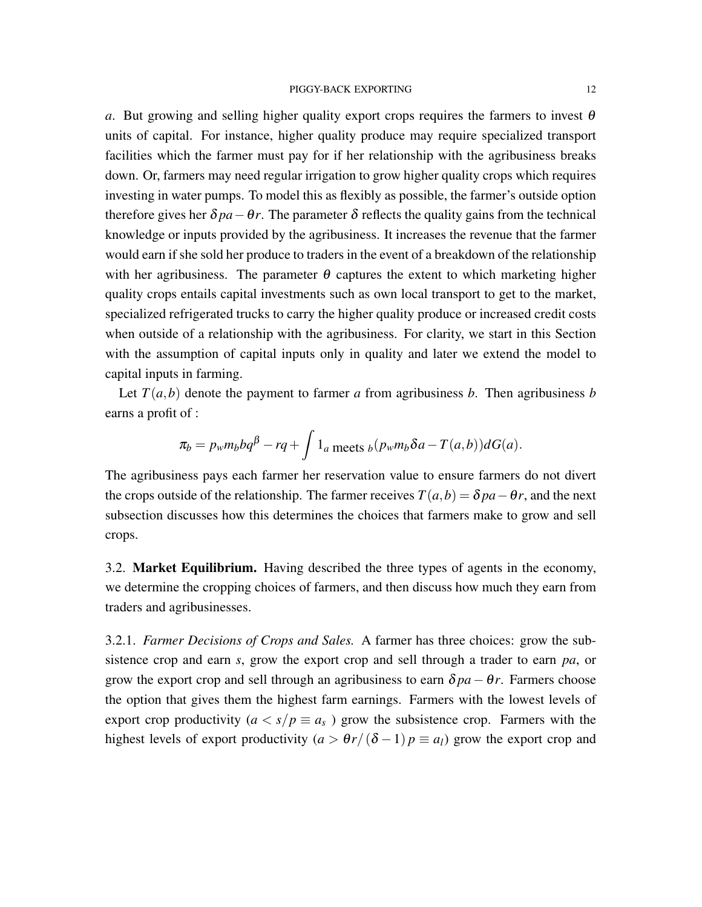*a*. But growing and selling higher quality export crops requires the farmers to invest  $\theta$ units of capital. For instance, higher quality produce may require specialized transport facilities which the farmer must pay for if her relationship with the agribusiness breaks down. Or, farmers may need regular irrigation to grow higher quality crops which requires investing in water pumps. To model this as flexibly as possible, the farmer's outside option therefore gives her  $\delta pa - \theta r$ . The parameter  $\delta$  reflects the quality gains from the technical knowledge or inputs provided by the agribusiness. It increases the revenue that the farmer would earn if she sold her produce to traders in the event of a breakdown of the relationship with her agribusiness. The parameter  $\theta$  captures the extent to which marketing higher quality crops entails capital investments such as own local transport to get to the market, specialized refrigerated trucks to carry the higher quality produce or increased credit costs when outside of a relationship with the agribusiness. For clarity, we start in this Section with the assumption of capital inputs only in quality and later we extend the model to capital inputs in farming.

Let  $T(a,b)$  denote the payment to farmer *a* from agribusiness *b*. Then agribusiness *b* earns a profit of :

$$
\pi_b = p_w m_b b q^{\beta} - r q + \int 1_a
$$
 meets  $b(p_w m_b \delta a - T(a, b)) dG(a)$ .

The agribusiness pays each farmer her reservation value to ensure farmers do not divert the crops outside of the relationship. The farmer receives  $T(a,b) = \delta pa - \theta r$ , and the next subsection discusses how this determines the choices that farmers make to grow and sell crops.

3.2. Market Equilibrium. Having described the three types of agents in the economy, we determine the cropping choices of farmers, and then discuss how much they earn from traders and agribusinesses.

3.2.1. *Farmer Decisions of Crops and Sales.* A farmer has three choices: grow the subsistence crop and earn *s*, grow the export crop and sell through a trader to earn *pa*, or grow the export crop and sell through an agribusiness to earn  $\delta pa - \theta r$ . Farmers choose the option that gives them the highest farm earnings. Farmers with the lowest levels of export crop productivity ( $a < s/p \equiv a_s$ ) grow the subsistence crop. Farmers with the highest levels of export productivity  $(a > \theta r/(\delta - 1)p \equiv a_l)$  grow the export crop and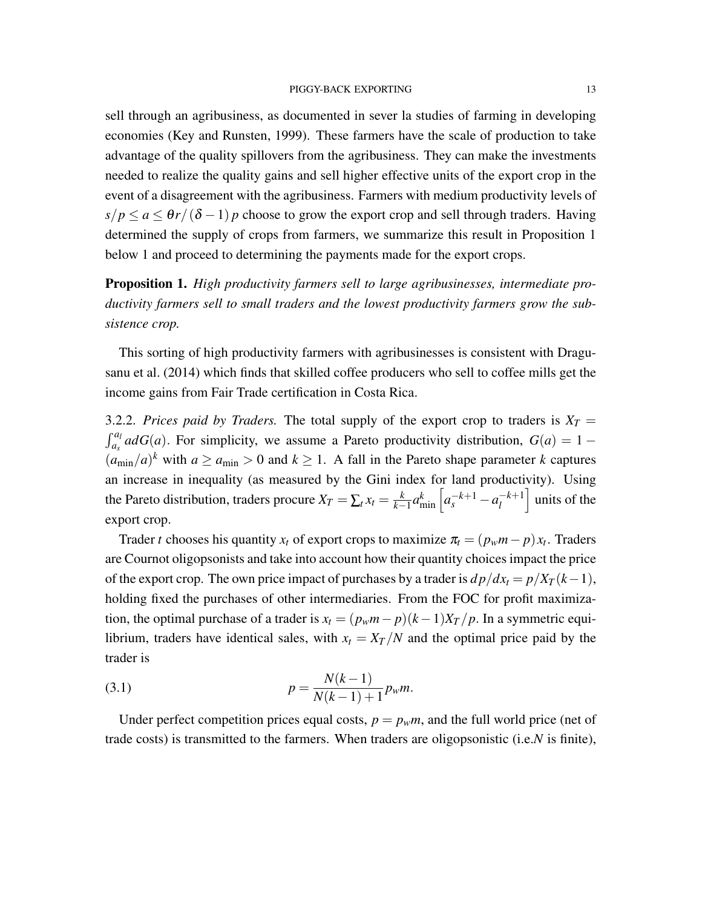sell through an agribusiness, as documented in sever la studies of farming in developing economies (Key and Runsten, 1999). These farmers have the scale of production to take advantage of the quality spillovers from the agribusiness. They can make the investments needed to realize the quality gains and sell higher effective units of the export crop in the event of a disagreement with the agribusiness. Farmers with medium productivity levels of  $s/p \le a \le \theta r/(\delta - 1) p$  choose to grow the export crop and sell through traders. Having determined the supply of crops from farmers, we summarize this result in Proposition 1 below 1 and proceed to determining the payments made for the export crops.

Proposition 1. *High productivity farmers sell to large agribusinesses, intermediate productivity farmers sell to small traders and the lowest productivity farmers grow the subsistence crop.*

This sorting of high productivity farmers with agribusinesses is consistent with Dragusanu et al. (2014) which finds that skilled coffee producers who sell to coffee mills get the income gains from Fair Trade certification in Costa Rica.

3.2.2. *Prices paid by Traders*. The total supply of the export crop to traders is  $X_T =$  $\int_{a_s}^{a_l} a dG(a)$ . For simplicity, we assume a Pareto productivity distribution,  $G(a) = 1 (a_{\text{min}}/a)^k$  with  $a \ge a_{\text{min}} > 0$  and  $k \ge 1$ . A fall in the Pareto shape parameter *k* captures an increase in inequality (as measured by the Gini index for land productivity). Using the Pareto distribution, traders procure  $X_T = \sum_t x_t = \frac{k}{k-1}$  $\frac{k}{k-1}a_{\min}^k\left[a_s^{-k+1}-a_l^{-k+1}\right]$ *l*  $\vert$  units of the export crop.

Trader *t* chooses his quantity  $x_t$  of export crops to maximize  $\pi_t = (p_w m - p)x_t$ . Traders are Cournot oligopsonists and take into account how their quantity choices impact the price of the export crop. The own price impact of purchases by a trader is  $dp/dx_t = p/X_T(k-1)$ , holding fixed the purchases of other intermediaries. From the FOC for profit maximization, the optimal purchase of a trader is  $x_t = (p_w m - p)(k-1)X_T/p$ . In a symmetric equilibrium, traders have identical sales, with  $x_t = X_T/N$  and the optimal price paid by the trader is

(3.1) 
$$
p = \frac{N(k-1)}{N(k-1)+1} p_w m.
$$

Under perfect competition prices equal costs,  $p = p_w m$ , and the full world price (net of trade costs) is transmitted to the farmers. When traders are oligopsonistic (i.e.*N* is finite),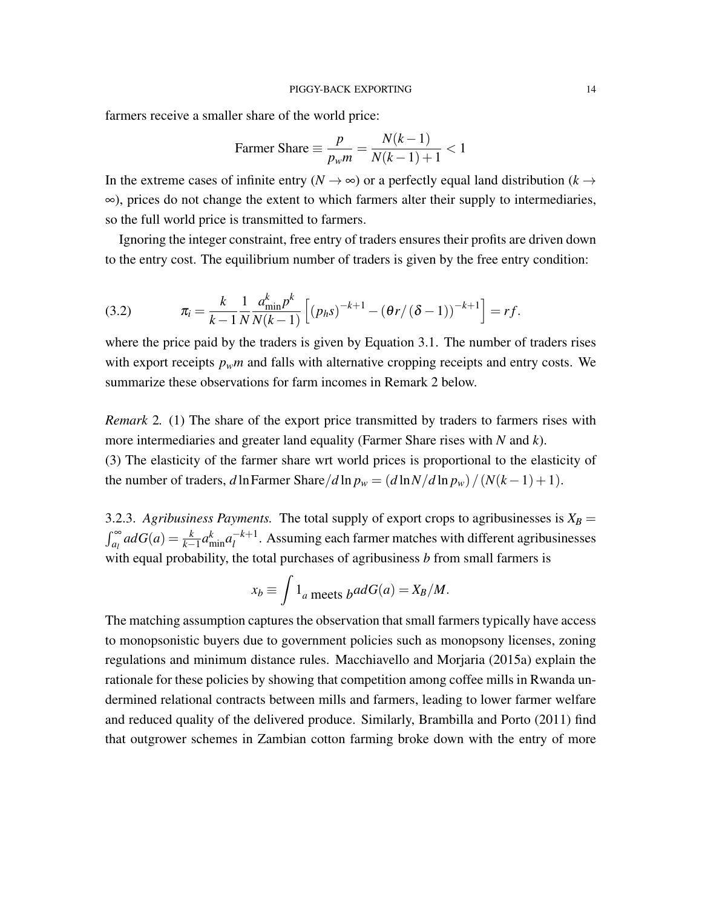farmers receive a smaller share of the world price:

$$
\text{Farrmer share} \equiv \frac{p}{p_w m} = \frac{N(k-1)}{N(k-1)+1} < 1
$$

In the extreme cases of infinite entry ( $N \rightarrow \infty$ ) or a perfectly equal land distribution ( $k \rightarrow \infty$ ) ∞), prices do not change the extent to which farmers alter their supply to intermediaries, so the full world price is transmitted to farmers.

Ignoring the integer constraint, free entry of traders ensures their profits are driven down to the entry cost. The equilibrium number of traders is given by the free entry condition:

(3.2) 
$$
\pi_i = \frac{k}{k-1} \frac{1}{N} \frac{a_{\min}^k p^k}{N(k-1)} \left[ (p_h s)^{-k+1} - (\theta r / (\delta - 1))^{-k+1} \right] = rf.
$$

where the price paid by the traders is given by Equation 3.1. The number of traders rises with export receipts  $p_w m$  and falls with alternative cropping receipts and entry costs. We summarize these observations for farm incomes in Remark 2 below.

*Remark* 2*.* (1) The share of the export price transmitted by traders to farmers rises with more intermediaries and greater land equality (Farmer Share rises with *N* and *k*). (3) The elasticity of the farmer share wrt world prices is proportional to the elasticity of the number of traders, *d* ln Farmer Share/*d* ln  $p_w = (d \ln N/d \ln p_w) / (N(k-1) + 1)$ .

3.2.3. *Agribusiness Payments.* The total supply of export crops to agribusinesses is  $X_B =$  $\int_{a_l}^{\infty} a dG(a) = \frac{k}{k-1} a_{\min}^k a_l^{-k+1}$  $l_l^{-k+1}$ . Assuming each farmer matches with different agribusinesses with equal probability, the total purchases of agribusiness *b* from small farmers is

$$
x_b \equiv \int 1_a
$$
 meets  $b^{ad}G(a) = X_B/M$ .

The matching assumption captures the observation that small farmers typically have access to monopsonistic buyers due to government policies such as monopsony licenses, zoning regulations and minimum distance rules. Macchiavello and Morjaria (2015a) explain the rationale for these policies by showing that competition among coffee mills in Rwanda undermined relational contracts between mills and farmers, leading to lower farmer welfare and reduced quality of the delivered produce. Similarly, Brambilla and Porto (2011) find that outgrower schemes in Zambian cotton farming broke down with the entry of more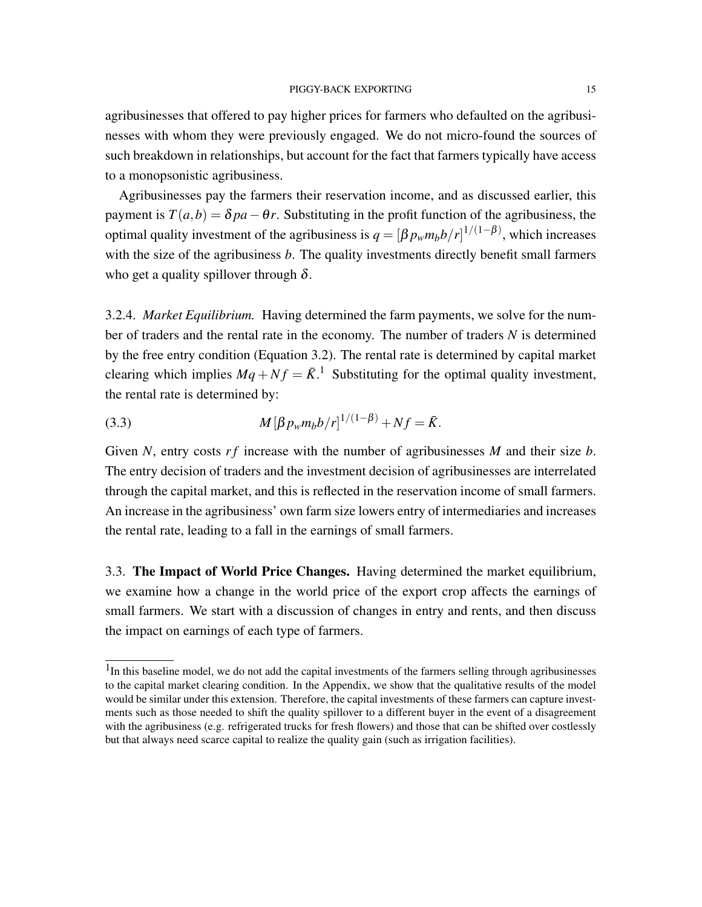agribusinesses that offered to pay higher prices for farmers who defaulted on the agribusinesses with whom they were previously engaged. We do not micro-found the sources of such breakdown in relationships, but account for the fact that farmers typically have access to a monopsonistic agribusiness.

Agribusinesses pay the farmers their reservation income, and as discussed earlier, this payment is  $T(a,b) = \delta pa - \theta r$ . Substituting in the profit function of the agribusiness, the optimal quality investment of the agribusiness is  $q = [\beta p_w m_b b / r]^{1/(1-\beta)}$ , which increases with the size of the agribusiness *b*. The quality investments directly benefit small farmers who get a quality spillover through  $\delta$ .

3.2.4. *Market Equilibrium.* Having determined the farm payments, we solve for the number of traders and the rental rate in the economy. The number of traders *N* is determined by the free entry condition (Equation 3.2). The rental rate is determined by capital market clearing which implies  $Mq + Nf = \bar{K}$ .<sup>1</sup> Substituting for the optimal quality investment, the rental rate is determined by:

(3.3) 
$$
M[\beta p_w m_b b/r]^{1/(1-\beta)} + Nf = \bar{K}.
$$

Given *N*, entry costs *rf* increase with the number of agribusinesses *M* and their size *b*. The entry decision of traders and the investment decision of agribusinesses are interrelated through the capital market, and this is reflected in the reservation income of small farmers. An increase in the agribusiness' own farm size lowers entry of intermediaries and increases the rental rate, leading to a fall in the earnings of small farmers.

3.3. The Impact of World Price Changes. Having determined the market equilibrium, we examine how a change in the world price of the export crop affects the earnings of small farmers. We start with a discussion of changes in entry and rents, and then discuss the impact on earnings of each type of farmers.

<sup>&</sup>lt;sup>1</sup>In this baseline model, we do not add the capital investments of the farmers selling through agribusinesses to the capital market clearing condition. In the Appendix, we show that the qualitative results of the model would be similar under this extension. Therefore, the capital investments of these farmers can capture investments such as those needed to shift the quality spillover to a different buyer in the event of a disagreement with the agribusiness (e.g. refrigerated trucks for fresh flowers) and those that can be shifted over costlessly but that always need scarce capital to realize the quality gain (such as irrigation facilities).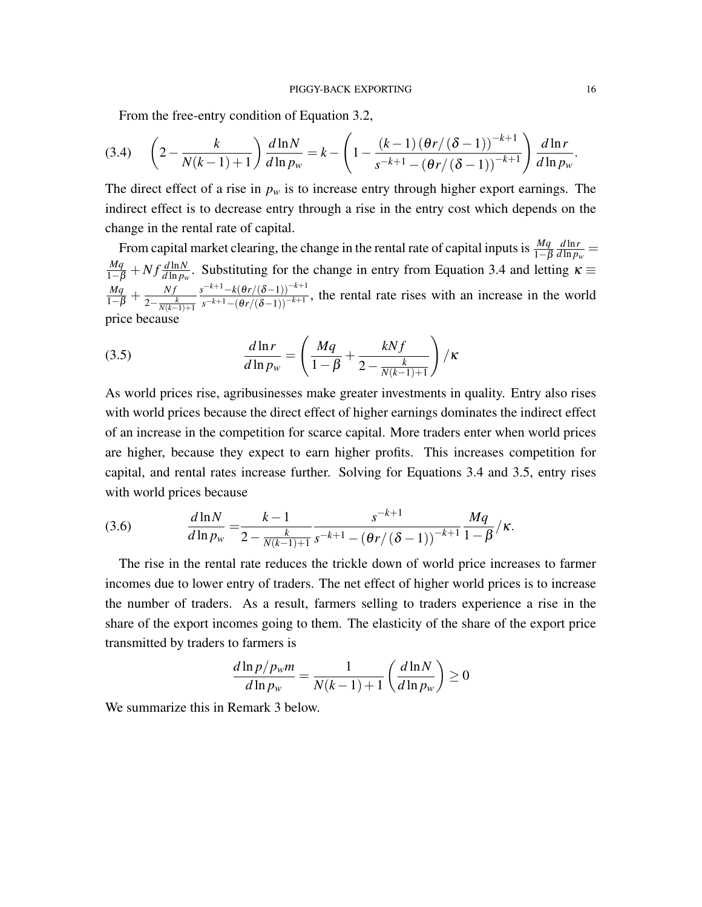From the free-entry condition of Equation 3.2,

$$
(3.4) \quad \left(2 - \frac{k}{N(k-1)+1}\right) \frac{d\ln N}{d\ln p_w} = k - \left(1 - \frac{(k-1)\left(\theta r/(\delta - 1)\right)^{-k+1}}{s^{-k+1} - \left(\theta r/(\delta - 1)\right)^{-k+1}}\right) \frac{d\ln r}{d\ln p_w}
$$

The direct effect of a rise in  $p_w$  is to increase entry through higher export earnings. The indirect effect is to decrease entry through a rise in the entry cost which depends on the change in the rental rate of capital.

From capital market clearing, the change in the rental rate of capital inputs is  $\frac{Mq}{1-\beta}$ *d* ln*r*  $\frac{d \ln r}{d \ln p_w}$  =  $\frac{Mq}{1-\beta} + Nf \frac{d \ln N}{d \ln p_w}$ . Substituting for the change in entry from Equation 3.4 and letting  $\kappa \equiv$  $\frac{Mq}{1-\beta} + \frac{Nf}{2-\frac{N}{N(h)}}$  $\frac{k}{2-\frac{k}{N(k-1)+1}}$ *s* <sup>−</sup>*k*+1−*k*(θ*r*/(δ−1))−*k*+<sup>1</sup>  $\frac{f(x+h)-f(\theta f)(\theta-1)}{s^{-k+1}-(\theta f/(\delta-1))^{-k+1}}$ , the rental rate rises with an increase in the world price because

(3.5) 
$$
\frac{d\ln r}{d\ln p_w} = \left(\frac{Mq}{1-\beta} + \frac{kNf}{2 - \frac{k}{N(k-1)+1}}\right) / \kappa
$$

As world prices rise, agribusinesses make greater investments in quality. Entry also rises with world prices because the direct effect of higher earnings dominates the indirect effect of an increase in the competition for scarce capital. More traders enter when world prices are higher, because they expect to earn higher profits. This increases competition for capital, and rental rates increase further. Solving for Equations 3.4 and 3.5, entry rises with world prices because

(3.6) 
$$
\frac{d \ln N}{d \ln p_w} = \frac{k-1}{2 - \frac{k}{N(k-1)+1}} \frac{s^{-k+1}}{s^{-k+1} - (\theta r/(\delta - 1))^{-k+1}} \frac{Mq}{1-\beta} / \kappa.
$$

The rise in the rental rate reduces the trickle down of world price increases to farmer incomes due to lower entry of traders. The net effect of higher world prices is to increase the number of traders. As a result, farmers selling to traders experience a rise in the share of the export incomes going to them. The elasticity of the share of the export price transmitted by traders to farmers is

$$
\frac{d\ln p/p_w m}{d\ln p_w} = \frac{1}{N(k-1)+1} \left(\frac{d\ln N}{d\ln p_w}\right) \ge 0
$$

We summarize this in Remark 3 below.

.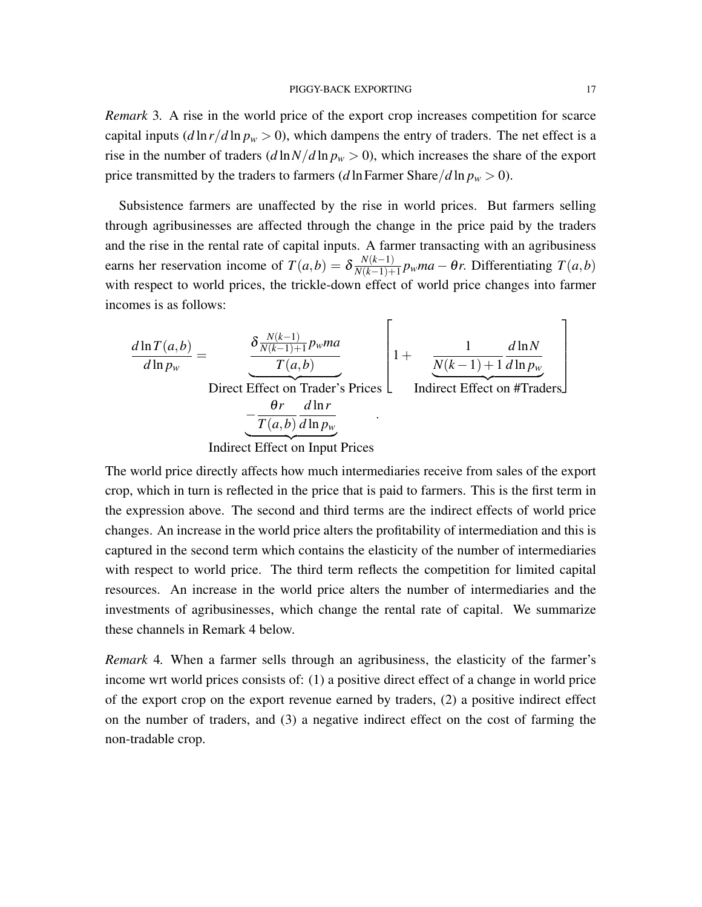*Remark* 3*.* A rise in the world price of the export crop increases competition for scarce capital inputs  $(d \ln r/d \ln p_w > 0)$ , which dampens the entry of traders. The net effect is a rise in the number of traders  $(d \ln N/d \ln p_w > 0)$ , which increases the share of the export price transmitted by the traders to farmers (*d* ln Farmer Share/*d* ln  $p_w > 0$ ).

Subsistence farmers are unaffected by the rise in world prices. But farmers selling through agribusinesses are affected through the change in the price paid by the traders and the rise in the rental rate of capital inputs. A farmer transacting with an agribusiness earns her reservation income of  $T(a,b) = \delta \frac{N(k-1)}{N(k-1)+1}$  $\frac{N(K-1)}{N(K-1)+1} p_w ma - \theta r$ . Differentiating *T*(*a*,*b*) with respect to world prices, the trickle-down effect of world price changes into farmer incomes is as follows:

$$
\frac{d\ln T(a,b)}{d\ln p_w} = \underbrace{\frac{\delta \frac{N(k-1)}{N(k-1)+1} p_w ma}{T(a,b)}}_{\text{Direct Effect on Trade's Prices}} \left[1 + \underbrace{\frac{1}{N(k-1)+1} \frac{d\ln N}{d\ln p_w}}_{\text{Indirect Effect on #Traders}}\right]
$$
\n
$$
= \underbrace{\frac{\theta r}{T(a,b)} \frac{d\ln r}{d\ln p_w}}_{\text{Indirect Effect on Input Prices}}.
$$

The world price directly affects how much intermediaries receive from sales of the export crop, which in turn is reflected in the price that is paid to farmers. This is the first term in the expression above. The second and third terms are the indirect effects of world price changes. An increase in the world price alters the profitability of intermediation and this is captured in the second term which contains the elasticity of the number of intermediaries with respect to world price. The third term reflects the competition for limited capital resources. An increase in the world price alters the number of intermediaries and the investments of agribusinesses, which change the rental rate of capital. We summarize these channels in Remark 4 below.

*Remark* 4*.* When a farmer sells through an agribusiness, the elasticity of the farmer's income wrt world prices consists of: (1) a positive direct effect of a change in world price of the export crop on the export revenue earned by traders, (2) a positive indirect effect on the number of traders, and (3) a negative indirect effect on the cost of farming the non-tradable crop.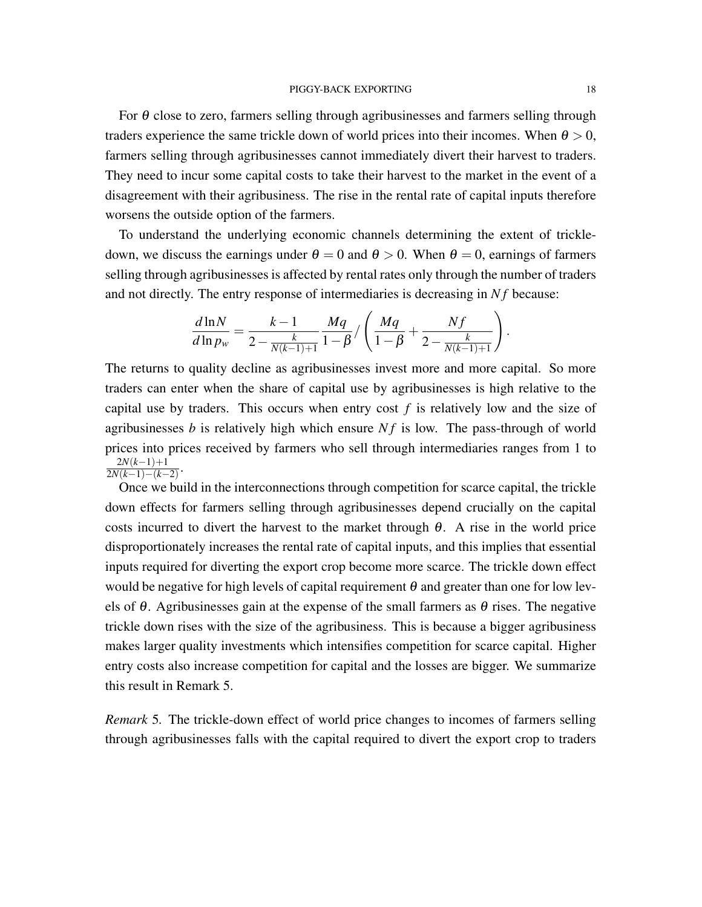For  $\theta$  close to zero, farmers selling through agribusinesses and farmers selling through traders experience the same trickle down of world prices into their incomes. When  $\theta > 0$ , farmers selling through agribusinesses cannot immediately divert their harvest to traders. They need to incur some capital costs to take their harvest to the market in the event of a disagreement with their agribusiness. The rise in the rental rate of capital inputs therefore worsens the outside option of the farmers.

To understand the underlying economic channels determining the extent of trickledown, we discuss the earnings under  $\theta = 0$  and  $\theta > 0$ . When  $\theta = 0$ , earnings of farmers selling through agribusinesses is affected by rental rates only through the number of traders and not directly. The entry response of intermediaries is decreasing in Nf because:

$$
\frac{d \ln N}{d \ln p_w} = \frac{k-1}{2 - \frac{k}{N(k-1)+1}} \frac{Mq}{1-\beta} / \left( \frac{Mq}{1-\beta} + \frac{Nf}{2 - \frac{k}{N(k-1)+1}} \right).
$$

The returns to quality decline as agribusinesses invest more and more capital. So more traders can enter when the share of capital use by agribusinesses is high relative to the capital use by traders. This occurs when entry cost *f* is relatively low and the size of agribusinesses  $b$  is relatively high which ensure  $Nf$  is low. The pass-through of world prices into prices received by farmers who sell through intermediaries ranges from 1 to  $2N(k-1)+1$  $\frac{2N(k-1)+1}{2N(k-1)-(k-2)}$ 

Once we build in the interconnections through competition for scarce capital, the trickle down effects for farmers selling through agribusinesses depend crucially on the capital costs incurred to divert the harvest to the market through  $\theta$ . A rise in the world price disproportionately increases the rental rate of capital inputs, and this implies that essential inputs required for diverting the export crop become more scarce. The trickle down effect would be negative for high levels of capital requirement  $\theta$  and greater than one for low levels of  $\theta$ . Agribusinesses gain at the expense of the small farmers as  $\theta$  rises. The negative trickle down rises with the size of the agribusiness. This is because a bigger agribusiness makes larger quality investments which intensifies competition for scarce capital. Higher entry costs also increase competition for capital and the losses are bigger. We summarize this result in Remark 5.

*Remark* 5*.* The trickle-down effect of world price changes to incomes of farmers selling through agribusinesses falls with the capital required to divert the export crop to traders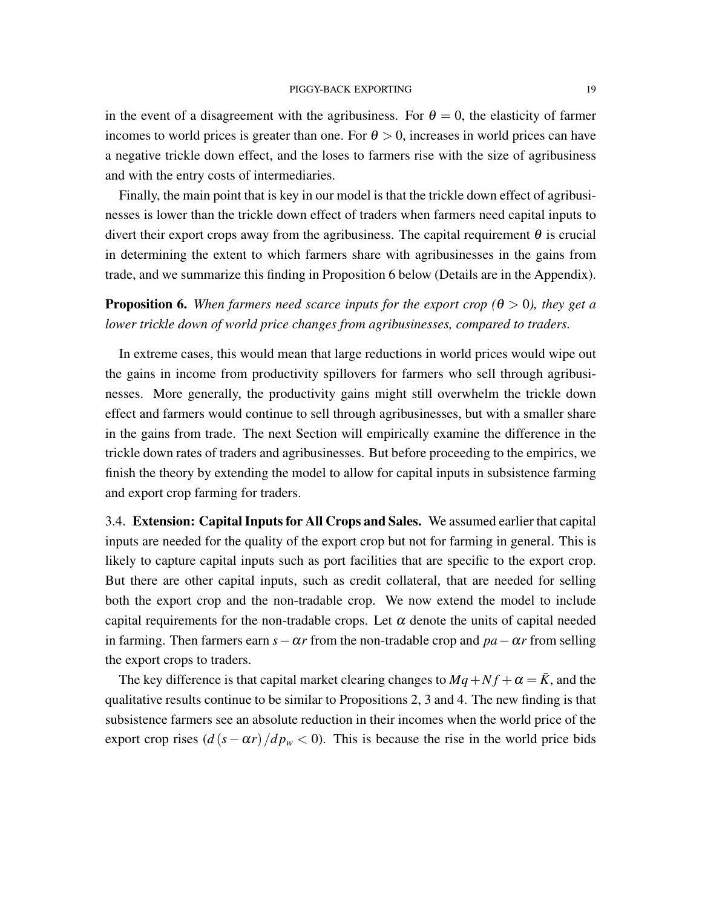in the event of a disagreement with the agribusiness. For  $\theta = 0$ , the elasticity of farmer incomes to world prices is greater than one. For  $\theta > 0$ , increases in world prices can have a negative trickle down effect, and the loses to farmers rise with the size of agribusiness and with the entry costs of intermediaries.

Finally, the main point that is key in our model is that the trickle down effect of agribusinesses is lower than the trickle down effect of traders when farmers need capital inputs to divert their export crops away from the agribusiness. The capital requirement  $\theta$  is crucial in determining the extent to which farmers share with agribusinesses in the gains from trade, and we summarize this finding in Proposition 6 below (Details are in the Appendix).

**Proposition 6.** When farmers need scarce inputs for the export crop ( $\theta > 0$ ), they get a *lower trickle down of world price changes from agribusinesses, compared to traders.*

In extreme cases, this would mean that large reductions in world prices would wipe out the gains in income from productivity spillovers for farmers who sell through agribusinesses. More generally, the productivity gains might still overwhelm the trickle down effect and farmers would continue to sell through agribusinesses, but with a smaller share in the gains from trade. The next Section will empirically examine the difference in the trickle down rates of traders and agribusinesses. But before proceeding to the empirics, we finish the theory by extending the model to allow for capital inputs in subsistence farming and export crop farming for traders.

3.4. Extension: Capital Inputs for All Crops and Sales. We assumed earlier that capital inputs are needed for the quality of the export crop but not for farming in general. This is likely to capture capital inputs such as port facilities that are specific to the export crop. But there are other capital inputs, such as credit collateral, that are needed for selling both the export crop and the non-tradable crop. We now extend the model to include capital requirements for the non-tradable crops. Let  $\alpha$  denote the units of capital needed in farming. Then farmers earn  $s - \alpha r$  from the non-tradable crop and  $pa - \alpha r$  from selling the export crops to traders.

The key difference is that capital market clearing changes to  $Mq + Nf + \alpha = \overline{K}$ , and the qualitative results continue to be similar to Propositions 2, 3 and 4. The new finding is that subsistence farmers see an absolute reduction in their incomes when the world price of the export crop rises  $\left(\frac{d(s - \alpha r)}{dp_w} < 0\right)$ . This is because the rise in the world price bids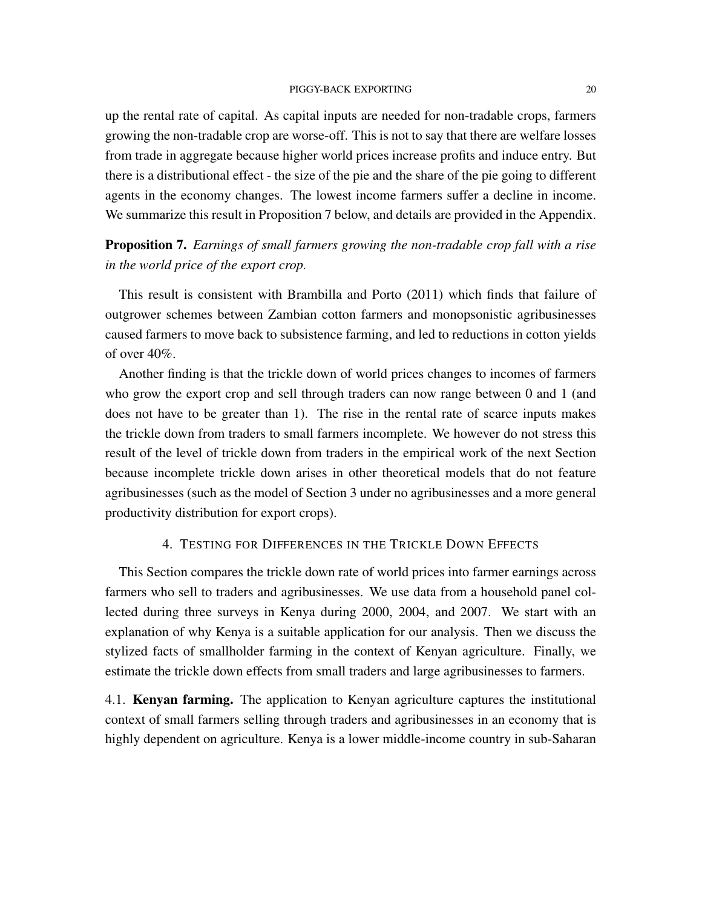up the rental rate of capital. As capital inputs are needed for non-tradable crops, farmers growing the non-tradable crop are worse-off. This is not to say that there are welfare losses from trade in aggregate because higher world prices increase profits and induce entry. But there is a distributional effect - the size of the pie and the share of the pie going to different agents in the economy changes. The lowest income farmers suffer a decline in income. We summarize this result in Proposition 7 below, and details are provided in the Appendix.

Proposition 7. *Earnings of small farmers growing the non-tradable crop fall with a rise in the world price of the export crop.*

This result is consistent with Brambilla and Porto (2011) which finds that failure of outgrower schemes between Zambian cotton farmers and monopsonistic agribusinesses caused farmers to move back to subsistence farming, and led to reductions in cotton yields of over 40%.

Another finding is that the trickle down of world prices changes to incomes of farmers who grow the export crop and sell through traders can now range between 0 and 1 (and does not have to be greater than 1). The rise in the rental rate of scarce inputs makes the trickle down from traders to small farmers incomplete. We however do not stress this result of the level of trickle down from traders in the empirical work of the next Section because incomplete trickle down arises in other theoretical models that do not feature agribusinesses (such as the model of Section 3 under no agribusinesses and a more general productivity distribution for export crops).

## 4. TESTING FOR DIFFERENCES IN THE TRICKLE DOWN EFFECTS

This Section compares the trickle down rate of world prices into farmer earnings across farmers who sell to traders and agribusinesses. We use data from a household panel collected during three surveys in Kenya during 2000, 2004, and 2007. We start with an explanation of why Kenya is a suitable application for our analysis. Then we discuss the stylized facts of smallholder farming in the context of Kenyan agriculture. Finally, we estimate the trickle down effects from small traders and large agribusinesses to farmers.

4.1. Kenyan farming. The application to Kenyan agriculture captures the institutional context of small farmers selling through traders and agribusinesses in an economy that is highly dependent on agriculture. Kenya is a lower middle-income country in sub-Saharan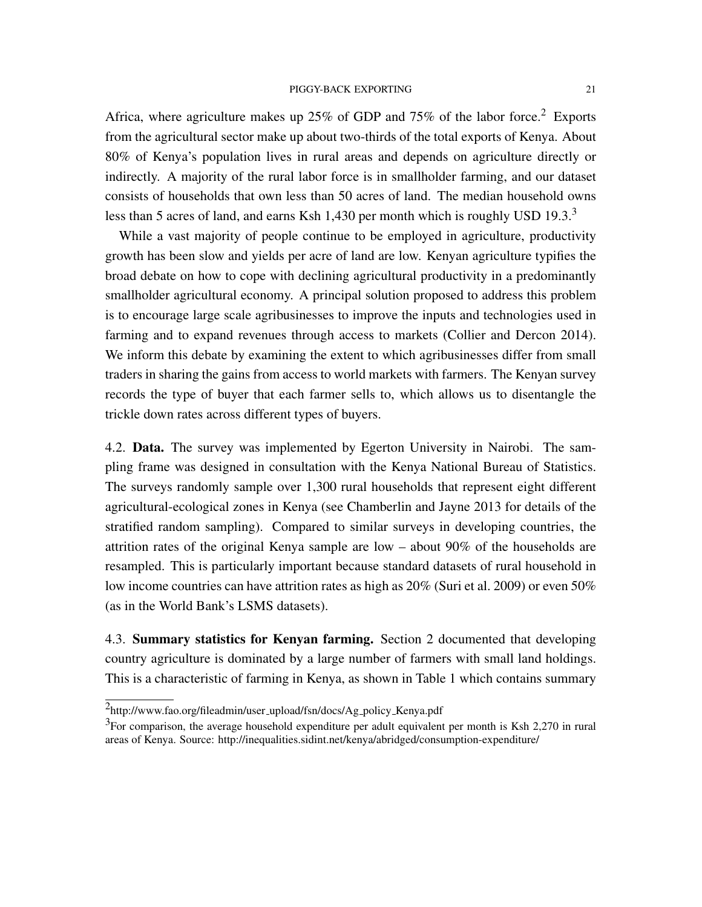Africa, where agriculture makes up 25% of GDP and 75% of the labor force.<sup>2</sup> Exports from the agricultural sector make up about two-thirds of the total exports of Kenya. About 80% of Kenya's population lives in rural areas and depends on agriculture directly or indirectly. A majority of the rural labor force is in smallholder farming, and our dataset consists of households that own less than 50 acres of land. The median household owns less than 5 acres of land, and earns Ksh 1,430 per month which is roughly USD 19.3. $3$ 

While a vast majority of people continue to be employed in agriculture, productivity growth has been slow and yields per acre of land are low. Kenyan agriculture typifies the broad debate on how to cope with declining agricultural productivity in a predominantly smallholder agricultural economy. A principal solution proposed to address this problem is to encourage large scale agribusinesses to improve the inputs and technologies used in farming and to expand revenues through access to markets (Collier and Dercon 2014). We inform this debate by examining the extent to which agribusinesses differ from small traders in sharing the gains from access to world markets with farmers. The Kenyan survey records the type of buyer that each farmer sells to, which allows us to disentangle the trickle down rates across different types of buyers.

4.2. Data. The survey was implemented by Egerton University in Nairobi. The sampling frame was designed in consultation with the Kenya National Bureau of Statistics. The surveys randomly sample over 1,300 rural households that represent eight different agricultural-ecological zones in Kenya (see Chamberlin and Jayne 2013 for details of the stratified random sampling). Compared to similar surveys in developing countries, the attrition rates of the original Kenya sample are low – about 90% of the households are resampled. This is particularly important because standard datasets of rural household in low income countries can have attrition rates as high as 20% (Suri et al. 2009) or even 50% (as in the World Bank's LSMS datasets).

4.3. Summary statistics for Kenyan farming. Section 2 documented that developing country agriculture is dominated by a large number of farmers with small land holdings. This is a characteristic of farming in Kenya, as shown in Table 1 which contains summary

<sup>&</sup>lt;sup>2</sup>http://www.fao.org/fileadmin/user\_upload/fsn/docs/Ag\_policy\_Kenya.pdf

 ${}^{3}$ For comparison, the average household expenditure per adult equivalent per month is Ksh 2,270 in rural areas of Kenya. Source: http://inequalities.sidint.net/kenya/abridged/consumption-expenditure/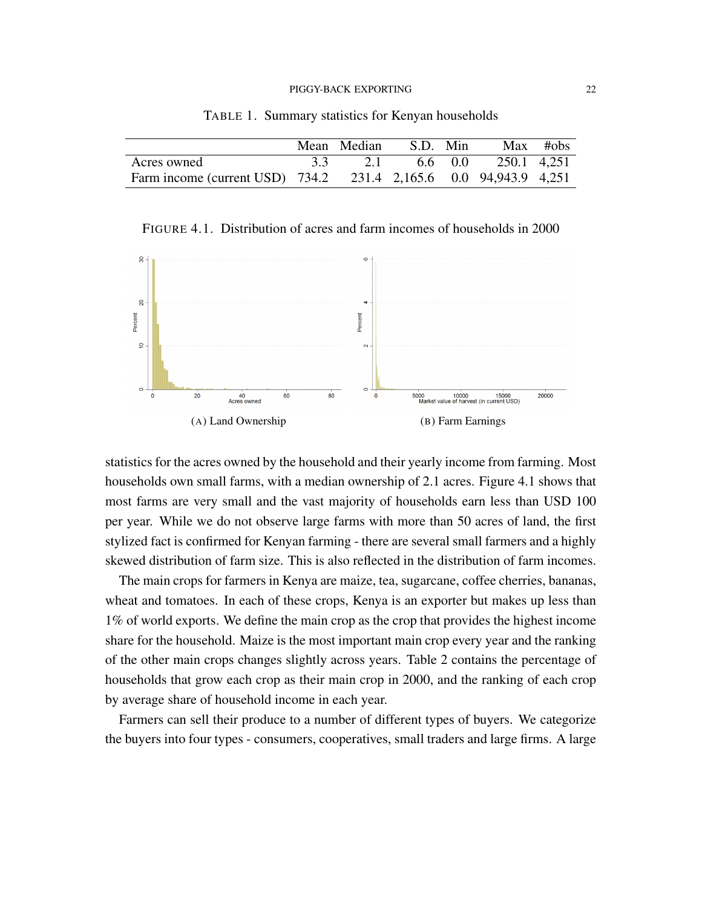|                                                                  | Mean Median S.D. Min |  |                             | $Max$ #obs |
|------------------------------------------------------------------|----------------------|--|-----------------------------|------------|
| Acres owned                                                      |                      |  | 3.3 2.1 6.6 0.0 250.1 4,251 |            |
| Farm income (current USD) 734.2 231.4 2,165.6 0.0 94,943.9 4,251 |                      |  |                             |            |

TABLE 1. Summary statistics for Kenyan households

FIGURE 4.1. Distribution of acres and farm incomes of households in 2000



statistics for the acres owned by the household and their yearly income from farming. Most households own small farms, with a median ownership of 2.1 acres. Figure 4.1 shows that most farms are very small and the vast majority of households earn less than USD 100 per year. While we do not observe large farms with more than 50 acres of land, the first stylized fact is confirmed for Kenyan farming - there are several small farmers and a highly skewed distribution of farm size. This is also reflected in the distribution of farm incomes.

The main crops for farmers in Kenya are maize, tea, sugarcane, coffee cherries, bananas, wheat and tomatoes. In each of these crops, Kenya is an exporter but makes up less than 1% of world exports. We define the main crop as the crop that provides the highest income share for the household. Maize is the most important main crop every year and the ranking of the other main crops changes slightly across years. Table 2 contains the percentage of households that grow each crop as their main crop in 2000, and the ranking of each crop by average share of household income in each year.

Farmers can sell their produce to a number of different types of buyers. We categorize the buyers into four types - consumers, cooperatives, small traders and large firms. A large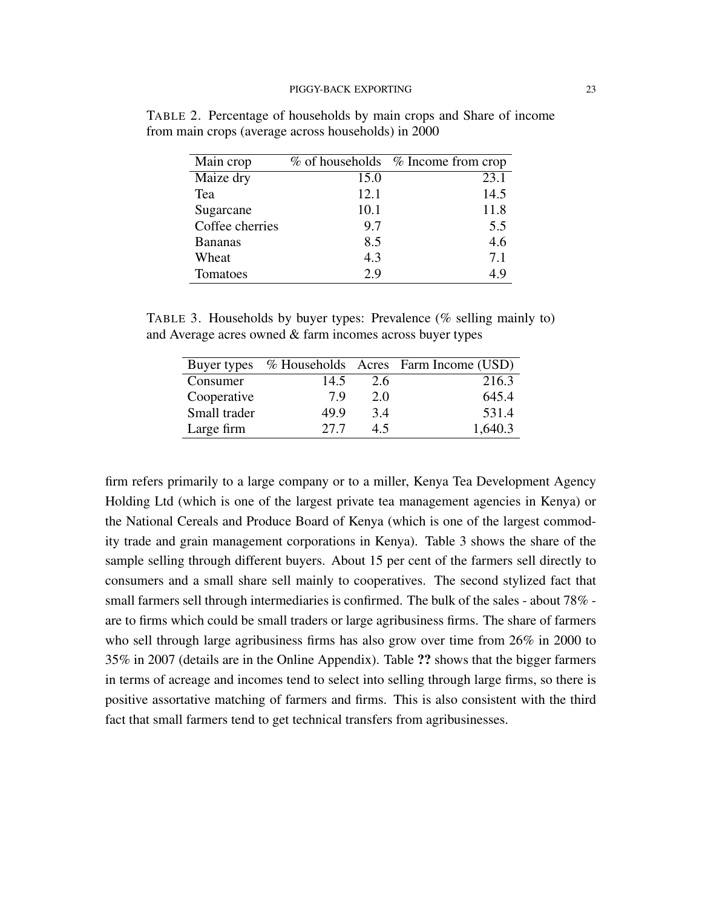| Main crop       |      | $\%$ of households $\%$ Income from crop |
|-----------------|------|------------------------------------------|
| Maize dry       | 15.0 | 23.1                                     |
| Tea             | 12.1 | 14.5                                     |
| Sugarcane       | 10.1 | 11.8                                     |
| Coffee cherries | 9.7  | 5.5                                      |
| <b>Bananas</b>  | 8.5  | 4.6                                      |
| Wheat           | 4.3  | 7.1                                      |
| Tomatoes        | 2.9  | 49                                       |

TABLE 2. Percentage of households by main crops and Share of income from main crops (average across households) in 2000

TABLE 3. Households by buyer types: Prevalence (% selling mainly to) and Average acres owned & farm incomes across buyer types

| Buyer types  |      |     | % Households Acres Farm Income (USD) |
|--------------|------|-----|--------------------------------------|
| Consumer     | 14.5 | 2.6 | 216.3                                |
| Cooperative  | 7 Q  | 2.0 | 645.4                                |
| Small trader | 49.9 | 3.4 | 531.4                                |
| Large firm   | 27.7 | 4.5 | 1,640.3                              |

firm refers primarily to a large company or to a miller, Kenya Tea Development Agency Holding Ltd (which is one of the largest private tea management agencies in Kenya) or the National Cereals and Produce Board of Kenya (which is one of the largest commodity trade and grain management corporations in Kenya). Table 3 shows the share of the sample selling through different buyers. About 15 per cent of the farmers sell directly to consumers and a small share sell mainly to cooperatives. The second stylized fact that small farmers sell through intermediaries is confirmed. The bulk of the sales - about 78% are to firms which could be small traders or large agribusiness firms. The share of farmers who sell through large agribusiness firms has also grow over time from 26% in 2000 to 35% in 2007 (details are in the Online Appendix). Table ?? shows that the bigger farmers in terms of acreage and incomes tend to select into selling through large firms, so there is positive assortative matching of farmers and firms. This is also consistent with the third fact that small farmers tend to get technical transfers from agribusinesses.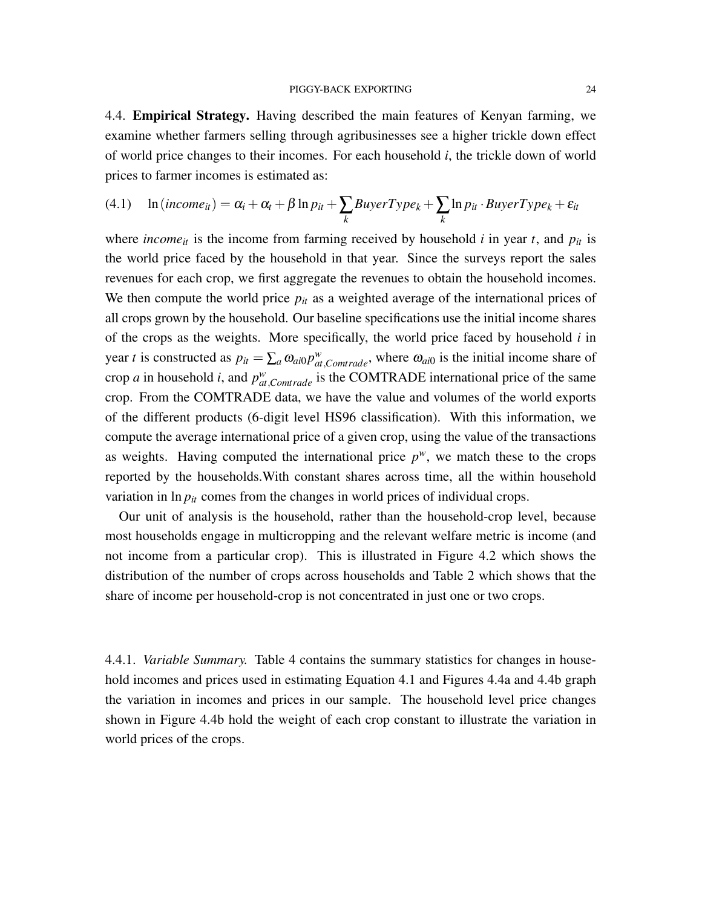4.4. Empirical Strategy. Having described the main features of Kenyan farming, we examine whether farmers selling through agribusinesses see a higher trickle down effect of world price changes to their incomes. For each household *i*, the trickle down of world prices to farmer incomes is estimated as:

(4.1) 
$$
\ln(income_{it}) = \alpha_i + \alpha_t + \beta \ln p_{it} + \sum_k BuyerType_k + \sum_k \ln p_{it} \cdot BuyerType_k + \varepsilon_{it}
$$

where *income*<sub>*it*</sub> is the income from farming received by household *i* in year *t*, and  $p_{it}$  is the world price faced by the household in that year. Since the surveys report the sales revenues for each crop, we first aggregate the revenues to obtain the household incomes. We then compute the world price  $p_{it}$  as a weighted average of the international prices of all crops grown by the household. Our baseline specifications use the initial income shares of the crops as the weights. More specifically, the world price faced by household *i* in year *t* is constructed as  $p_{it} = \sum_a \omega_{ai0} p_{at,Comtrade}^w$ , where  $\omega_{ai0}$  is the initial income share of crop *a* in household *i*, and  $p_{at,Comtrade}^w$  is the COMTRADE international price of the same crop. From the COMTRADE data, we have the value and volumes of the world exports of the different products (6-digit level HS96 classification). With this information, we compute the average international price of a given crop, using the value of the transactions as weights. Having computed the international price  $p^w$ , we match these to the crops reported by the households.With constant shares across time, all the within household variation in  $\ln p_{it}$  comes from the changes in world prices of individual crops.

Our unit of analysis is the household, rather than the household-crop level, because most households engage in multicropping and the relevant welfare metric is income (and not income from a particular crop). This is illustrated in Figure 4.2 which shows the distribution of the number of crops across households and Table 2 which shows that the share of income per household-crop is not concentrated in just one or two crops.

4.4.1. *Variable Summary.* Table 4 contains the summary statistics for changes in household incomes and prices used in estimating Equation 4.1 and Figures 4.4a and 4.4b graph the variation in incomes and prices in our sample. The household level price changes shown in Figure 4.4b hold the weight of each crop constant to illustrate the variation in world prices of the crops.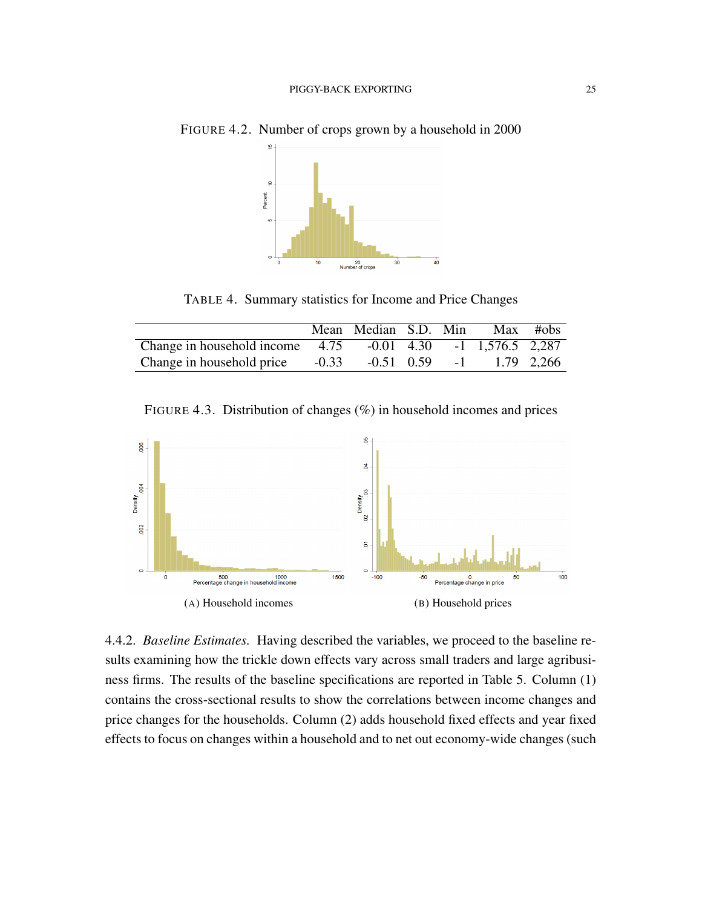

FIGURE 4.2. Number of crops grown by a household in 2000

TABLE 4. Summary statistics for Income and Price Changes

|                                   |         | Mean Median S.D. Min |  |                                 | Max #obs |
|-----------------------------------|---------|----------------------|--|---------------------------------|----------|
| Change in household income $4.75$ |         |                      |  | $-0.01$ 4.30 $-1$ 1,576.5 2,287 |          |
| Change in household price         | $-0.33$ | $-0.51$ 0.59         |  | $-1$ 1.79 2,266                 |          |

FIGURE 4.3. Distribution of changes (%) in household incomes and prices



4.4.2. *Baseline Estimates.* Having described the variables, we proceed to the baseline results examining how the trickle down effects vary across small traders and large agribusiness firms. The results of the baseline specifications are reported in Table 5. Column (1) contains the cross-sectional results to show the correlations between income changes and price changes for the households. Column (2) adds household fixed effects and year fixed effects to focus on changes within a household and to net out economy-wide changes (such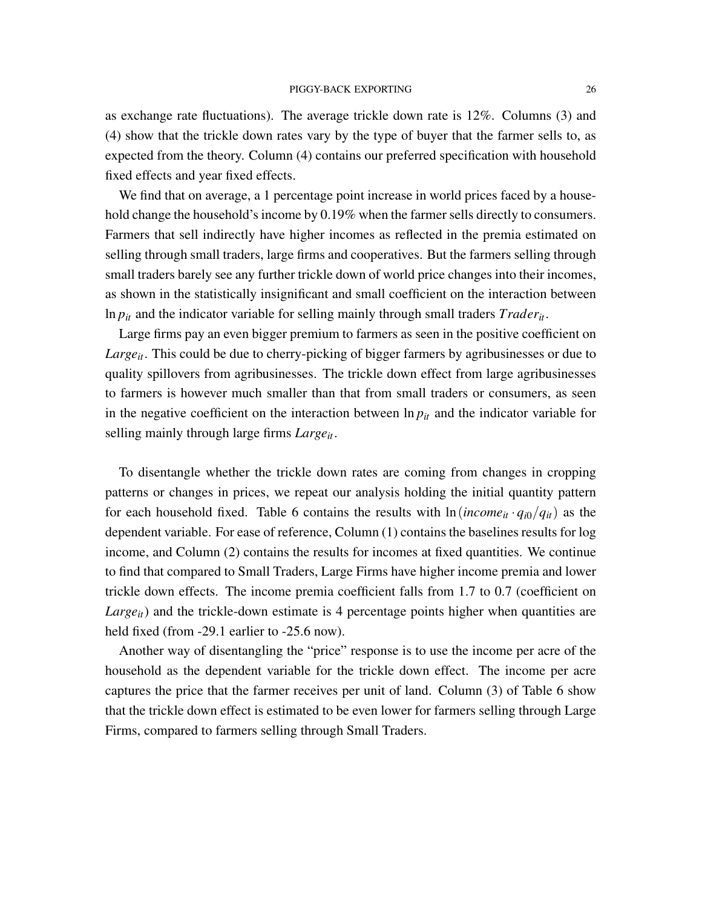as exchange rate fluctuations). The average trickle down rate is 12%. Columns (3) and (4) show that the trickle down rates vary by the type of buyer that the farmer sells to, as expected from the theory. Column (4) contains our preferred specification with household fixed effects and year fixed effects.

We find that on average, a 1 percentage point increase in world prices faced by a household change the household's income by 0.19% when the farmer sells directly to consumers. Farmers that sell indirectly have higher incomes as reflected in the premia estimated on selling through small traders, large firms and cooperatives. But the farmers selling through small traders barely see any further trickle down of world price changes into their incomes, as shown in the statistically insignificant and small coefficient on the interaction between ln *pit* and the indicator variable for selling mainly through small traders *Traderit*.

Large firms pay an even bigger premium to farmers as seen in the positive coefficient on *Largeit*. This could be due to cherry-picking of bigger farmers by agribusinesses or due to quality spillovers from agribusinesses. The trickle down effect from large agribusinesses to farmers is however much smaller than that from small traders or consumers, as seen in the negative coefficient on the interaction between  $\ln p_{it}$  and the indicator variable for selling mainly through large firms *Largeit*.

To disentangle whether the trickle down rates are coming from changes in cropping patterns or changes in prices, we repeat our analysis holding the initial quantity pattern for each household fixed. Table 6 contains the results with  $\ln(income_{it} \cdot q_{i0}/q_{it})$  as the dependent variable. For ease of reference, Column (1) contains the baselines results for log income, and Column (2) contains the results for incomes at fixed quantities. We continue to find that compared to Small Traders, Large Firms have higher income premia and lower trickle down effects. The income premia coefficient falls from 1.7 to 0.7 (coefficient on *Large<sub>it</sub>*) and the trickle-down estimate is 4 percentage points higher when quantities are held fixed (from -29.1 earlier to -25.6 now).

Another way of disentangling the "price" response is to use the income per acre of the household as the dependent variable for the trickle down effect. The income per acre captures the price that the farmer receives per unit of land. Column (3) of Table 6 show that the trickle down effect is estimated to be even lower for farmers selling through Large Firms, compared to farmers selling through Small Traders.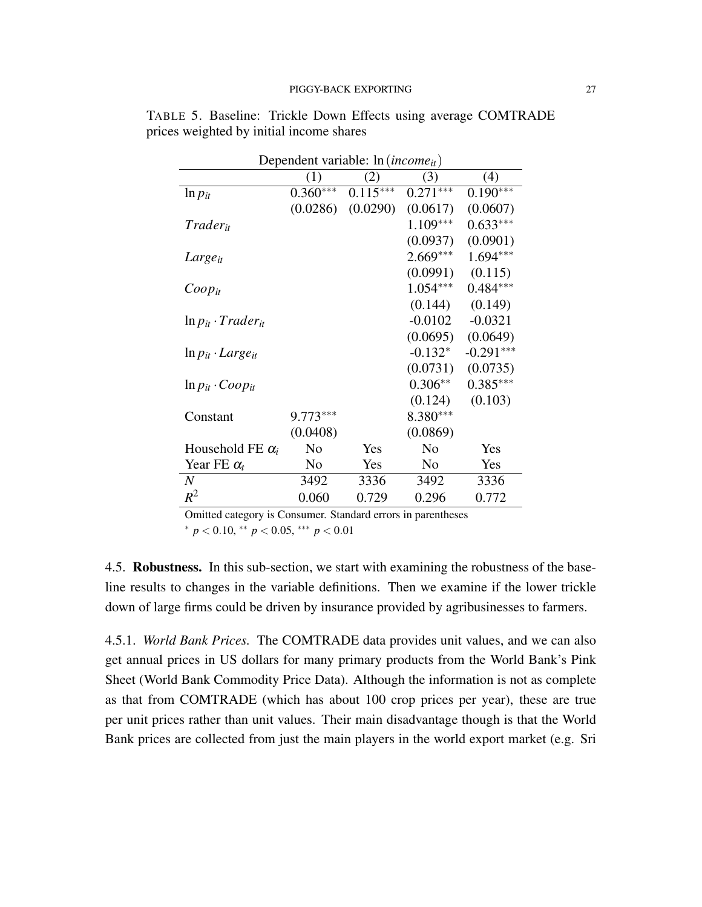| Dependent variable: $ln(income_{it})$ |                |            |                |             |  |  |  |
|---------------------------------------|----------------|------------|----------------|-------------|--|--|--|
|                                       | (1)            | (2)        | (3)            | (4)         |  |  |  |
| $\ln p_{it}$                          | $0.360***$     | $0.115***$ | $0.271***$     | $0.190***$  |  |  |  |
|                                       | (0.0286)       | (0.0290)   | (0.0617)       | (0.0607)    |  |  |  |
| Trader <sub>it</sub>                  |                |            | $1.109***$     | $0.633***$  |  |  |  |
|                                       |                |            | (0.0937)       | (0.0901)    |  |  |  |
| Large <sub>it</sub>                   |                |            | 2.669***       | $1.694***$  |  |  |  |
|                                       |                |            | (0.0991)       | (0.115)     |  |  |  |
| $Coop_{it}$                           |                |            | $1.054***$     | $0.484***$  |  |  |  |
|                                       |                |            | (0.144)        | (0.149)     |  |  |  |
| $\ln p_{it} \cdot Trader_{it}$        |                |            | $-0.0102$      | $-0.0321$   |  |  |  |
|                                       |                |            | (0.0695)       | (0.0649)    |  |  |  |
| $\ln p_{it} \cdot Large_{it}$         |                |            | $-0.132*$      | $-0.291***$ |  |  |  |
|                                       |                |            | (0.0731)       | (0.0735)    |  |  |  |
| $\ln p_{it} \cdot Coop_{it}$          |                |            | $0.306**$      | $0.385***$  |  |  |  |
|                                       |                |            | (0.124)        | (0.103)     |  |  |  |
| Constant                              | $9.773***$     |            | 8.380***       |             |  |  |  |
|                                       | (0.0408)       |            | (0.0869)       |             |  |  |  |
| Household FE $\alpha_i$               | N <sub>0</sub> | Yes        | N <sub>0</sub> | Yes         |  |  |  |
| Year FE $\alpha_t$                    | N <sub>o</sub> | Yes        | N <sub>o</sub> | Yes         |  |  |  |
| N                                     | 3492           | 3336       | 3492           | 3336        |  |  |  |
| $R^2$                                 | 0.060          | 0.729      | 0.296          | 0.772       |  |  |  |

TABLE 5. Baseline: Trickle Down Effects using average COMTRADE prices weighted by initial income shares

Omitted category is Consumer. Standard errors in parentheses <sup>∗</sup> *p* < 0.10, ∗∗ *p* < 0.05, ∗∗∗ *p* < 0.01

4.5. Robustness. In this sub-section, we start with examining the robustness of the baseline results to changes in the variable definitions. Then we examine if the lower trickle down of large firms could be driven by insurance provided by agribusinesses to farmers.

4.5.1. *World Bank Prices.* The COMTRADE data provides unit values, and we can also get annual prices in US dollars for many primary products from the World Bank's Pink Sheet (World Bank Commodity Price Data). Although the information is not as complete as that from COMTRADE (which has about 100 crop prices per year), these are true per unit prices rather than unit values. Their main disadvantage though is that the World Bank prices are collected from just the main players in the world export market (e.g. Sri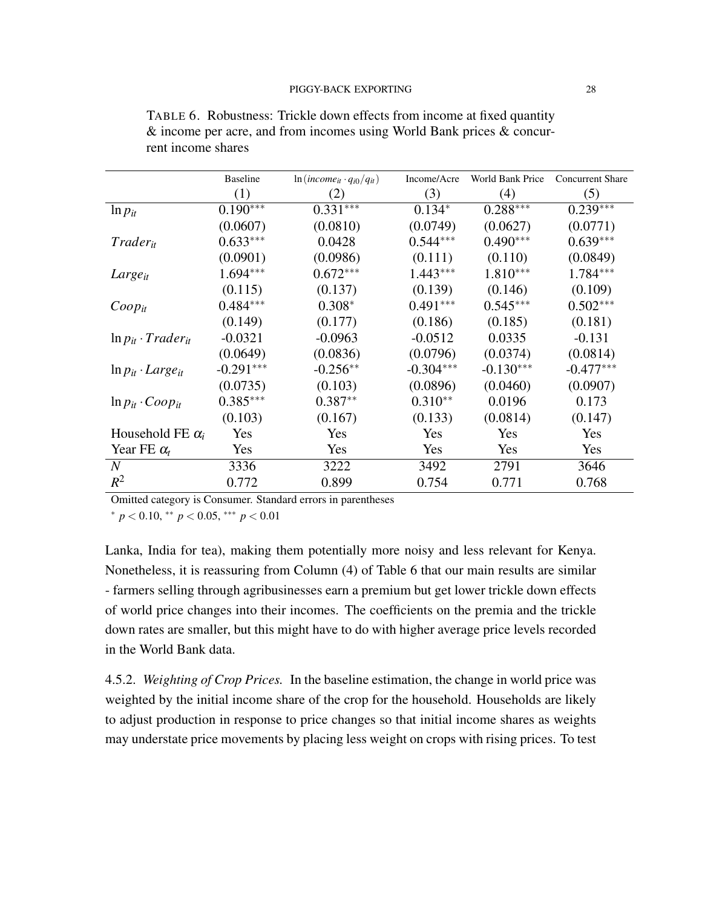|                                | <b>Baseline</b> | $ln(income_{it} \cdot q_{i0}/q_{it})$ | Income/Acre | World Bank Price | <b>Concurrent Share</b> |
|--------------------------------|-----------------|---------------------------------------|-------------|------------------|-------------------------|
|                                | (1)             | (2)                                   | (3)         | (4)              | (5)                     |
| $\ln p_{it}$                   | $0.190***$      | $0.331***$                            | $0.134*$    | $0.288***$       | $0.239***$              |
|                                | (0.0607)        | (0.0810)                              | (0.0749)    | (0.0627)         | (0.0771)                |
| $T\,rader_{it}$                | $0.633***$      | 0.0428                                | $0.544***$  | $0.490***$       | $0.639***$              |
|                                | (0.0901)        | (0.0986)                              | (0.111)     | (0.110)          | (0.0849)                |
| Large <sub>it</sub>            | 1.694***        | $0.672***$                            | $1.443***$  | $1.810***$       | $1.784***$              |
|                                | (0.115)         | (0.137)                               | (0.139)     | (0.146)          | (0.109)                 |
| $Coop_{it}$                    | $0.484***$      | $0.308*$                              | $0.491***$  | $0.545***$       | $0.502***$              |
|                                | (0.149)         | (0.177)                               | (0.186)     | (0.185)          | (0.181)                 |
| $\ln p_{it} \cdot Trader_{it}$ | $-0.0321$       | $-0.0963$                             | $-0.0512$   | 0.0335           | $-0.131$                |
|                                | (0.0649)        | (0.0836)                              | (0.0796)    | (0.0374)         | (0.0814)                |
| $\ln p_{it} \cdot Large_{it}$  | $-0.291***$     | $-0.256**$                            | $-0.304***$ | $-0.130***$      | $-0.477***$             |
|                                | (0.0735)        | (0.103)                               | (0.0896)    | (0.0460)         | (0.0907)                |
| $\ln p_{it} \cdot Coop_{it}$   | $0.385***$      | $0.387**$                             | $0.310**$   | 0.0196           | 0.173                   |
|                                | (0.103)         | (0.167)                               | (0.133)     | (0.0814)         | (0.147)                 |
| Household FE $\alpha_i$        | Yes             | Yes                                   | Yes         | Yes              | Yes                     |
| Year FE $\alpha_t$             | Yes             | Yes                                   | Yes         | Yes              | Yes                     |
| $\overline{N}$                 | 3336            | 3222                                  | 3492        | 2791             | 3646                    |
| $R^2$                          | 0.772           | 0.899                                 | 0.754       | 0.771            | 0.768                   |

TABLE 6. Robustness: Trickle down effects from income at fixed quantity & income per acre, and from incomes using World Bank prices & concurrent income shares

Omitted category is Consumer. Standard errors in parentheses

<sup>∗</sup> *p* < 0.10, ∗∗ *p* < 0.05, ∗∗∗ *p* < 0.01

Lanka, India for tea), making them potentially more noisy and less relevant for Kenya. Nonetheless, it is reassuring from Column (4) of Table 6 that our main results are similar - farmers selling through agribusinesses earn a premium but get lower trickle down effects of world price changes into their incomes. The coefficients on the premia and the trickle down rates are smaller, but this might have to do with higher average price levels recorded in the World Bank data.

4.5.2. *Weighting of Crop Prices.* In the baseline estimation, the change in world price was weighted by the initial income share of the crop for the household. Households are likely to adjust production in response to price changes so that initial income shares as weights may understate price movements by placing less weight on crops with rising prices. To test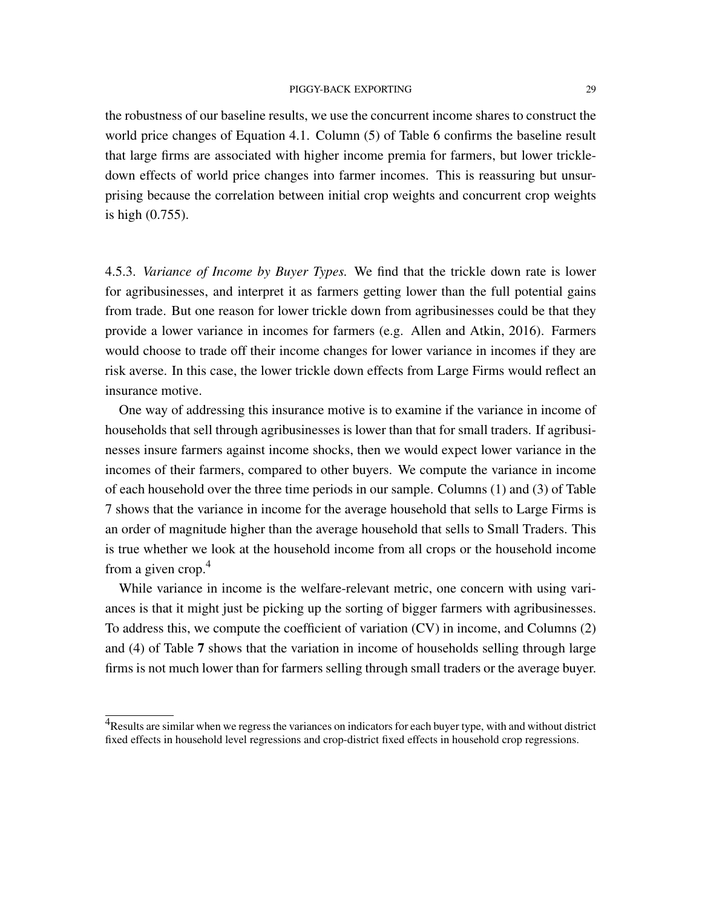the robustness of our baseline results, we use the concurrent income shares to construct the world price changes of Equation 4.1. Column (5) of Table 6 confirms the baseline result that large firms are associated with higher income premia for farmers, but lower trickledown effects of world price changes into farmer incomes. This is reassuring but unsurprising because the correlation between initial crop weights and concurrent crop weights is high (0.755).

4.5.3. *Variance of Income by Buyer Types.* We find that the trickle down rate is lower for agribusinesses, and interpret it as farmers getting lower than the full potential gains from trade. But one reason for lower trickle down from agribusinesses could be that they provide a lower variance in incomes for farmers (e.g. Allen and Atkin, 2016). Farmers would choose to trade off their income changes for lower variance in incomes if they are risk averse. In this case, the lower trickle down effects from Large Firms would reflect an insurance motive.

One way of addressing this insurance motive is to examine if the variance in income of households that sell through agribusinesses is lower than that for small traders. If agribusinesses insure farmers against income shocks, then we would expect lower variance in the incomes of their farmers, compared to other buyers. We compute the variance in income of each household over the three time periods in our sample. Columns (1) and (3) of Table 7 shows that the variance in income for the average household that sells to Large Firms is an order of magnitude higher than the average household that sells to Small Traders. This is true whether we look at the household income from all crops or the household income from a given crop. $4$ 

While variance in income is the welfare-relevant metric, one concern with using variances is that it might just be picking up the sorting of bigger farmers with agribusinesses. To address this, we compute the coefficient of variation (CV) in income, and Columns (2) and (4) of Table 7 shows that the variation in income of households selling through large firms is not much lower than for farmers selling through small traders or the average buyer.

<sup>&</sup>lt;sup>4</sup>Results are similar when we regress the variances on indicators for each buyer type, with and without district fixed effects in household level regressions and crop-district fixed effects in household crop regressions.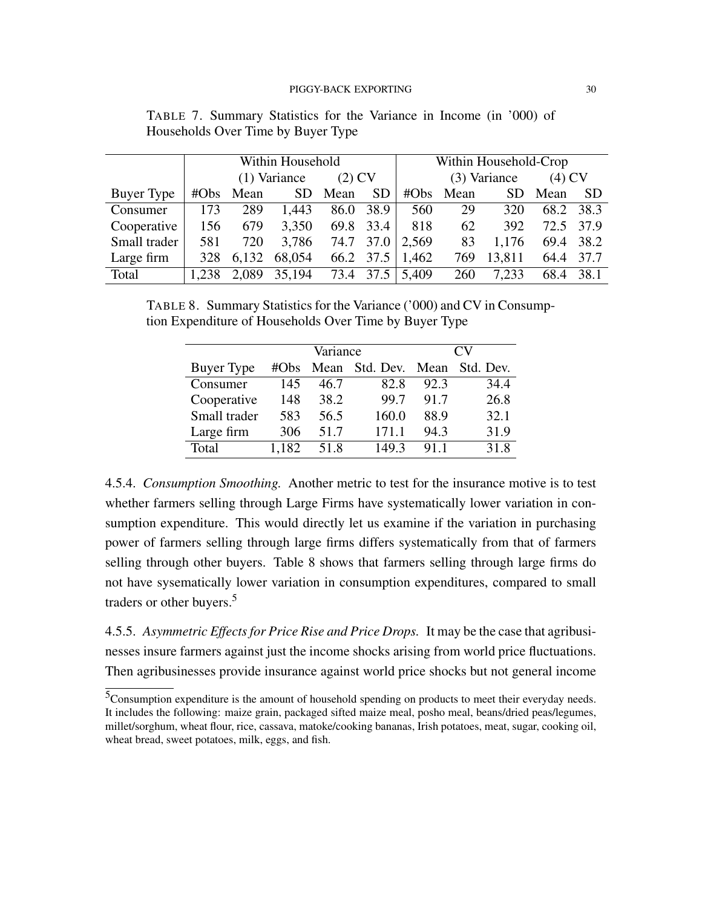|              | Within Household |              |        |          | Within Household-Crop |              |            |          |      |           |
|--------------|------------------|--------------|--------|----------|-----------------------|--------------|------------|----------|------|-----------|
|              |                  | (1) Variance |        | $(2)$ CV |                       | (3) Variance |            | $(4)$ CV |      |           |
| Buyer Type   |                  | #Obs Mean    | SD.    | Mean     | SD.                   | #Obs         | Mean       | SD.      | Mean | <b>SD</b> |
| Consumer     | 173              | 289          | 1,443  | 86.0     | 38.9                  | 560          | 29         | 320      | 68.2 | 38.3      |
| Cooperative  | 156              | 679          | 3,350  |          | 69.8 33.4             | 818          | 62         | 392      | 72.5 | 37.9      |
| Small trader | 581              | 720          | 3,786  |          | 74.7 37.0             | 2,569        | 83         | 1,176    | 69.4 | 38.2      |
| Large firm   | 328              | 6,132        | 68,054 |          | 66.2 37.5             | 1,462        | 769        | 13,811   | 64.4 | 37.7      |
| Total        | 1.238            | 2,089        | 35,194 |          | 73.4 37.5             | 5,409        | <b>260</b> | 7.233    | 68.4 | 38.1      |

TABLE 7. Summary Statistics for the Variance in Income (in '000) of Households Over Time by Buyer Type

TABLE 8. Summary Statistics for the Variance ('000) and CV in Consumption Expenditure of Households Over Time by Buyer Type

|              |         | Variance |                | CV)  |           |
|--------------|---------|----------|----------------|------|-----------|
| Buyer Type   | # $Obs$ | Mean     | Std. Dev. Mean |      | Std. Dev. |
| Consumer     | 145     | 46.7     | 82.8           | 92.3 | 34.4      |
| Cooperative  | 148     | 38.2     | 99.7           | 91.7 | 26.8      |
| Small trader | 583     | 56.5     | 160.0          | 88.9 | 32.1      |
| Large firm   | 306     | 51.7     | 171.1          | 94.3 | 31.9      |
| Total        | 1.182   | 51.8     | 149.3          | 91.1 | 31.8      |

4.5.4. *Consumption Smoothing.* Another metric to test for the insurance motive is to test whether farmers selling through Large Firms have systematically lower variation in consumption expenditure. This would directly let us examine if the variation in purchasing power of farmers selling through large firms differs systematically from that of farmers selling through other buyers. Table 8 shows that farmers selling through large firms do not have sysematically lower variation in consumption expenditures, compared to small traders or other buyers.<sup>5</sup>

4.5.5. *Asymmetric Effects for Price Rise and Price Drops.* It may be the case that agribusinesses insure farmers against just the income shocks arising from world price fluctuations. Then agribusinesses provide insurance against world price shocks but not general income

<sup>5</sup>Consumption expenditure is the amount of household spending on products to meet their everyday needs. It includes the following: maize grain, packaged sifted maize meal, posho meal, beans/dried peas/legumes, millet/sorghum, wheat flour, rice, cassava, matoke/cooking bananas, Irish potatoes, meat, sugar, cooking oil, wheat bread, sweet potatoes, milk, eggs, and fish.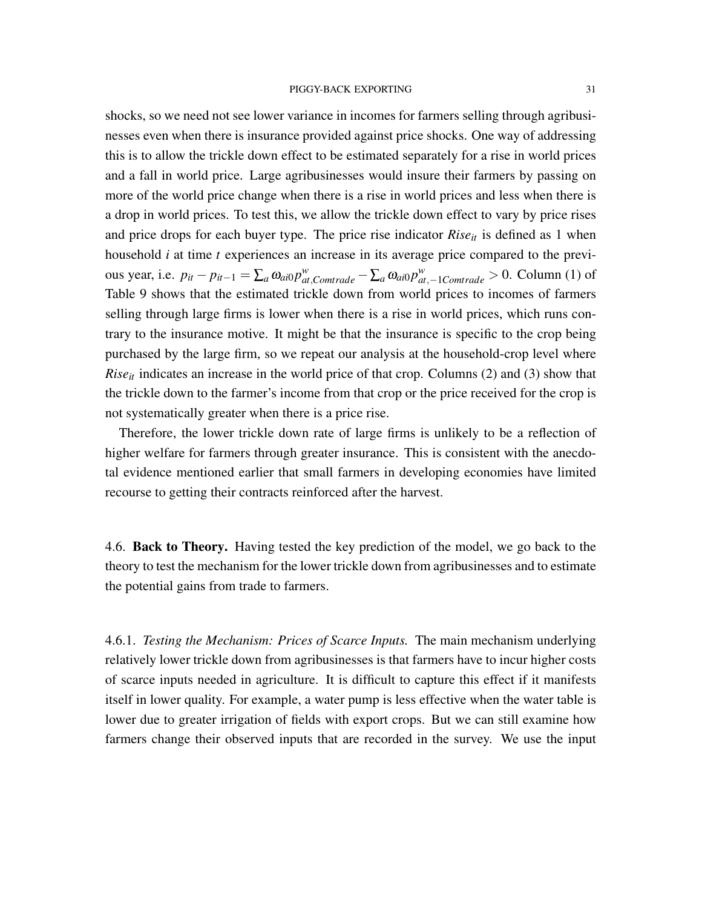shocks, so we need not see lower variance in incomes for farmers selling through agribusinesses even when there is insurance provided against price shocks. One way of addressing this is to allow the trickle down effect to be estimated separately for a rise in world prices and a fall in world price. Large agribusinesses would insure their farmers by passing on more of the world price change when there is a rise in world prices and less when there is a drop in world prices. To test this, we allow the trickle down effect to vary by price rises and price drops for each buyer type. The price rise indicator  $Rise_{it}$  is defined as 1 when household *i* at time *t* experiences an increase in its average price compared to the previous year, i.e.  $p_{it} - p_{it-1} = \sum_a \omega_{ai0} p_{at,Comtrade}^w - \sum_a \omega_{ai0} p_{at,-1Comtrade}^w > 0$ . Column (1) of Table 9 shows that the estimated trickle down from world prices to incomes of farmers selling through large firms is lower when there is a rise in world prices, which runs contrary to the insurance motive. It might be that the insurance is specific to the crop being purchased by the large firm, so we repeat our analysis at the household-crop level where *Rise<sub>it</sub>* indicates an increase in the world price of that crop. Columns (2) and (3) show that the trickle down to the farmer's income from that crop or the price received for the crop is not systematically greater when there is a price rise.

Therefore, the lower trickle down rate of large firms is unlikely to be a reflection of higher welfare for farmers through greater insurance. This is consistent with the anecdotal evidence mentioned earlier that small farmers in developing economies have limited recourse to getting their contracts reinforced after the harvest.

4.6. Back to Theory. Having tested the key prediction of the model, we go back to the theory to test the mechanism for the lower trickle down from agribusinesses and to estimate the potential gains from trade to farmers.

4.6.1. *Testing the Mechanism: Prices of Scarce Inputs.* The main mechanism underlying relatively lower trickle down from agribusinesses is that farmers have to incur higher costs of scarce inputs needed in agriculture. It is difficult to capture this effect if it manifests itself in lower quality. For example, a water pump is less effective when the water table is lower due to greater irrigation of fields with export crops. But we can still examine how farmers change their observed inputs that are recorded in the survey. We use the input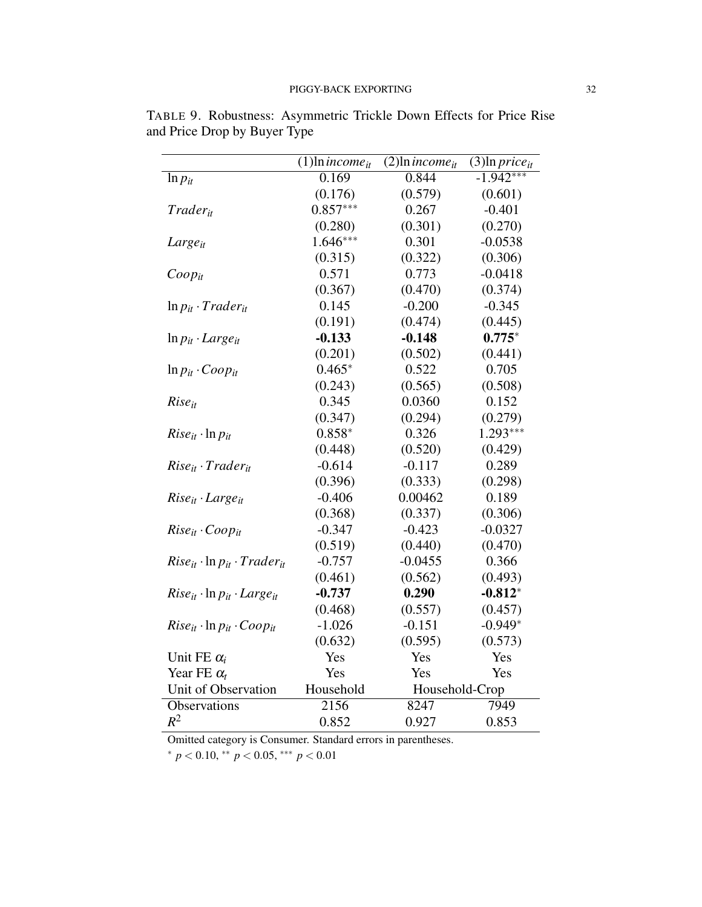|                                               | $(1)$ ln <i>income</i> <sub>it</sub> | $(2)$ ln <i>income</i> <sub>it</sub> | $\overline{(3)}$ ln <i>price<sub>it</sub></i> |
|-----------------------------------------------|--------------------------------------|--------------------------------------|-----------------------------------------------|
| $\ln p_{it}$                                  | 0.169                                | 0.844                                | $-1.942***$                                   |
|                                               | (0.176)                              | (0.579)                              | (0.601)                                       |
| <b>Trader</b> <sub>it</sub>                   | $0.857***$                           | 0.267                                | $-0.401$                                      |
|                                               | (0.280)                              | (0.301)                              | (0.270)                                       |
| Large <sub>it</sub>                           | $1.646***$                           | 0.301                                | $-0.0538$                                     |
|                                               | (0.315)                              | (0.322)                              | (0.306)                                       |
| $Coop_{it}$                                   | 0.571                                | 0.773                                | $-0.0418$                                     |
|                                               | (0.367)                              | (0.470)                              | (0.374)                                       |
| $\ln p_{it} \cdot Traderi_t$                  | 0.145                                | $-0.200$                             | $-0.345$                                      |
|                                               | (0.191)                              | (0.474)                              | (0.445)                                       |
| $\ln p_{it} \cdot Large_{it}$                 | $-0.133$                             | $-0.148$                             | $0.775*$                                      |
|                                               | (0.201)                              | (0.502)                              | (0.441)                                       |
| $\ln p_{it} \cdot Coop_{it}$                  | $0.465*$                             | 0.522                                | 0.705                                         |
|                                               | (0.243)                              | (0.565)                              | (0.508)                                       |
| $Rise_{it}$                                   | 0.345                                | 0.0360                               | 0.152                                         |
|                                               | (0.347)                              | (0.294)                              | (0.279)                                       |
| $Rise_{it} \cdot \ln p_{it}$                  | $0.858*$                             | 0.326                                | $1.293***$                                    |
|                                               | (0.448)                              | (0.520)                              | (0.429)                                       |
| $Rise_{it} \cdot Traderi_t$                   | $-0.614$                             | $-0.117$                             | 0.289                                         |
|                                               | (0.396)                              | (0.333)                              | (0.298)                                       |
| $Rise_{it} \cdot Large_{it}$                  | $-0.406$                             | 0.00462                              | 0.189                                         |
|                                               | (0.368)                              | (0.337)                              | (0.306)                                       |
| $Rise_{it} \cdot Coop_{it}$                   | $-0.347$                             | $-0.423$                             | $-0.0327$                                     |
|                                               | (0.519)                              | (0.440)                              | (0.470)                                       |
| $Rise_{it} \cdot \ln p_{it} \cdot Trade_{it}$ | $-0.757$                             | $-0.0455$                            | 0.366                                         |
|                                               | (0.461)                              | (0.562)                              | (0.493)                                       |
| $Rise_{it} \cdot \ln p_{it} \cdot Large_{it}$ | $-0.737$                             | 0.290                                | $-0.812*$                                     |
|                                               | (0.468)                              | (0.557)                              | (0.457)                                       |
| $Rise_{it} \cdot \ln p_{it} \cdot Coop_{it}$  | $-1.026$                             | $-0.151$                             | $-0.949*$                                     |
|                                               | (0.632)                              | (0.595)                              | (0.573)                                       |
| Unit FE $\alpha_i$                            | Yes                                  | Yes                                  | Yes                                           |
| Year FE $\alpha_t$                            | Yes                                  | Yes                                  | Yes                                           |
| Unit of Observation                           | Household                            | Household-Crop                       |                                               |
| Observations                                  | 2156                                 | 8247                                 | 7949                                          |
| $R^2$                                         | 0.852                                | 0.927                                | 0.853                                         |

TABLE 9. Robustness: Asymmetric Trickle Down Effects for Price Rise and Price Drop by Buyer Type

Omitted category is Consumer. Standard errors in parentheses.

<sup>∗</sup> *p* < 0.10, ∗∗ *p* < 0.05, ∗∗∗ *p* < 0.01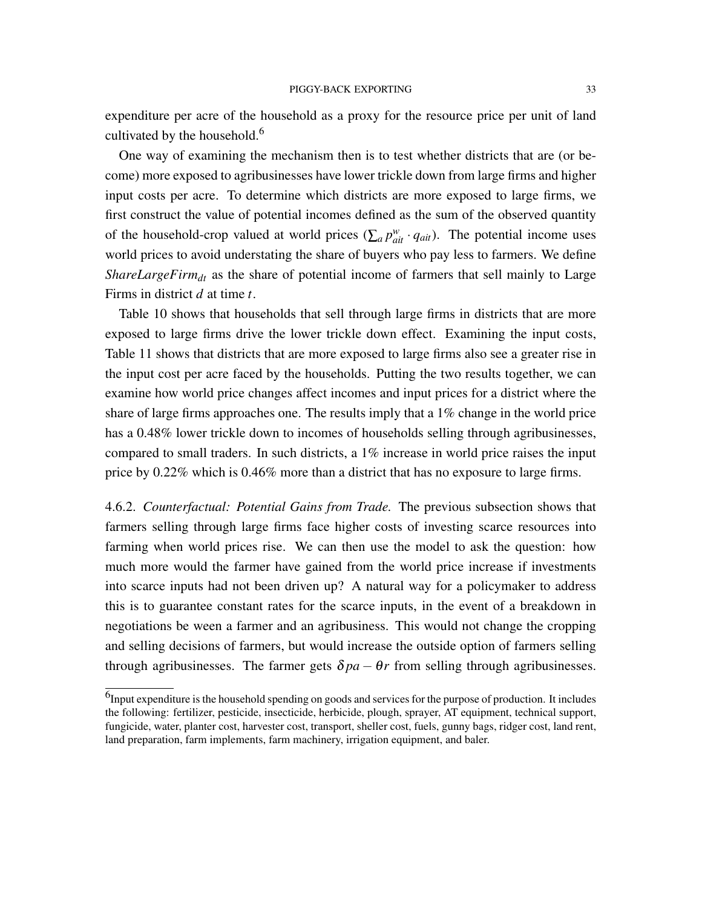expenditure per acre of the household as a proxy for the resource price per unit of land cultivated by the household.<sup>6</sup>

One way of examining the mechanism then is to test whether districts that are (or become) more exposed to agribusinesses have lower trickle down from large firms and higher input costs per acre. To determine which districts are more exposed to large firms, we first construct the value of potential incomes defined as the sum of the observed quantity of the household-crop valued at world prices  $(\sum_a p_{ai}^w \cdot q_{ai}^a)$ . The potential income uses world prices to avoid understating the share of buyers who pay less to farmers. We define *ShareLargeFirm<sub>dt</sub>* as the share of potential income of farmers that sell mainly to Large Firms in district *d* at time *t*.

Table 10 shows that households that sell through large firms in districts that are more exposed to large firms drive the lower trickle down effect. Examining the input costs, Table 11 shows that districts that are more exposed to large firms also see a greater rise in the input cost per acre faced by the households. Putting the two results together, we can examine how world price changes affect incomes and input prices for a district where the share of large firms approaches one. The results imply that a 1% change in the world price has a 0.48% lower trickle down to incomes of households selling through agribusinesses, compared to small traders. In such districts, a 1% increase in world price raises the input price by 0.22% which is 0.46% more than a district that has no exposure to large firms.

4.6.2. *Counterfactual: Potential Gains from Trade.* The previous subsection shows that farmers selling through large firms face higher costs of investing scarce resources into farming when world prices rise. We can then use the model to ask the question: how much more would the farmer have gained from the world price increase if investments into scarce inputs had not been driven up? A natural way for a policymaker to address this is to guarantee constant rates for the scarce inputs, in the event of a breakdown in negotiations be ween a farmer and an agribusiness. This would not change the cropping and selling decisions of farmers, but would increase the outside option of farmers selling through agribusinesses. The farmer gets  $\delta pa - \theta r$  from selling through agribusinesses.

 $<sup>6</sup>$ Input expenditure is the household spending on goods and services for the purpose of production. It includes</sup> the following: fertilizer, pesticide, insecticide, herbicide, plough, sprayer, AT equipment, technical support, fungicide, water, planter cost, harvester cost, transport, sheller cost, fuels, gunny bags, ridger cost, land rent, land preparation, farm implements, farm machinery, irrigation equipment, and baler.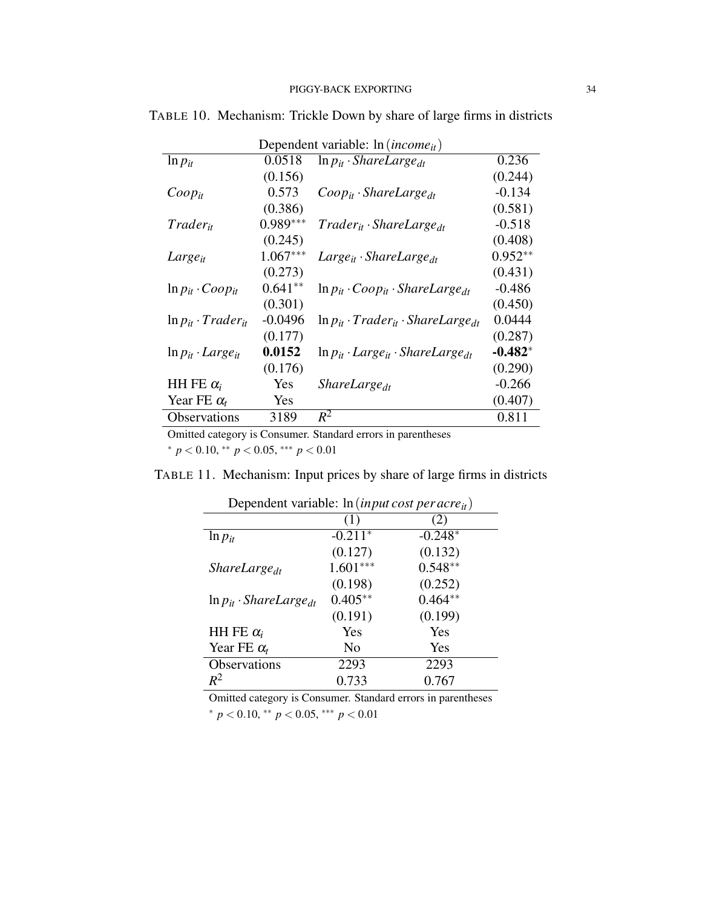| Dependent variable: $ln(income_{it})$ |            |                                                      |           |  |  |
|---------------------------------------|------------|------------------------------------------------------|-----------|--|--|
| $\ln p_{it}$                          | 0.0518     | $\ln p_{it} \cdot Sharelarge_{dt}$                   | 0.236     |  |  |
|                                       | (0.156)    |                                                      | (0.244)   |  |  |
| $Coop_{it}$                           | 0.573      | $Coop_{it} \cdot Sharelarge_{dt}$                    | $-0.134$  |  |  |
|                                       | (0.386)    |                                                      | (0.581)   |  |  |
| <i>Trader<sub>it</sub></i>            | $0.989***$ | $Trade_{it} \cdot Shared_{dr}$                       | $-0.518$  |  |  |
|                                       | (0.245)    |                                                      | (0.408)   |  |  |
| $Large_{it}$                          | $1.067***$ | $Large_{it} \cdot Sharelarge_{dt}$                   | $0.952**$ |  |  |
|                                       | (0.273)    |                                                      | (0.431)   |  |  |
| $\ln p_{it} \cdot Coop_{it}$          | $0.641**$  | $\ln p_{it} \cdot Coop_{it} \cdot Sharelarge_{dt}$   | $-0.486$  |  |  |
|                                       | (0.301)    |                                                      | (0.450)   |  |  |
| $\ln p_{it} \cdot Trader_{it}$        | $-0.0496$  | $\ln p_{it} \cdot Trader_{it} \cdot Sharelarge_{dt}$ | 0.0444    |  |  |
|                                       | (0.177)    |                                                      | (0.287)   |  |  |
| $\ln p_{it} \cdot Large_{it}$         | 0.0152     | $\ln p_{it} \cdot Large_{it} \cdot Sharelarge_{dt}$  | $-0.482*$ |  |  |
|                                       | (0.176)    |                                                      | (0.290)   |  |  |
| HH FE $\alpha_i$                      | Yes        | ShareLarge <sub>dt</sub>                             | $-0.266$  |  |  |
| Year FE $\alpha_t$                    | <b>Yes</b> |                                                      | (0.407)   |  |  |
| <b>Observations</b>                   | 3189       | $R^2$                                                | 0.811     |  |  |

TABLE 10. Mechanism: Trickle Down by share of large firms in districts

Omitted category is Consumer. Standard errors in parentheses

<sup>∗</sup> *p* < 0.10, ∗∗ *p* < 0.05, ∗∗∗ *p* < 0.01

TABLE 11. Mechanism: Input prices by share of large firms in districts

| Dependent variable: In ( <i>in put cost per acre</i> <sub>it</sub> ) |            |           |  |  |  |  |
|----------------------------------------------------------------------|------------|-----------|--|--|--|--|
|                                                                      | (1)        | (2)       |  |  |  |  |
| $\ln p_{it}$                                                         | $-0.211*$  | $-0.248*$ |  |  |  |  |
|                                                                      | (0.127)    | (0.132)   |  |  |  |  |
| <i>ShareLarge</i> <sub>dt</sub>                                      | $1.601***$ | $0.548**$ |  |  |  |  |
|                                                                      | (0.198)    | (0.252)   |  |  |  |  |
| $\ln p_{it} \cdot Sharelarge_{dt}$                                   | $0.405**$  | $0.464**$ |  |  |  |  |
|                                                                      | (0.191)    | (0.199)   |  |  |  |  |
| HH FE $\alpha_i$                                                     | Yes        | Yes       |  |  |  |  |
| Year FE $\alpha_t$                                                   | No         | Yes       |  |  |  |  |
| <b>Observations</b>                                                  | 2293       | 2293      |  |  |  |  |
| $R^2$                                                                | 0.733      | 0.767     |  |  |  |  |

Dependent variable: ln(*input cost per acreit*)

Omitted category is Consumer. Standard errors in parentheses

<sup>∗</sup> *p* < 0.10, ∗∗ *p* < 0.05, ∗∗∗ *p* < 0.01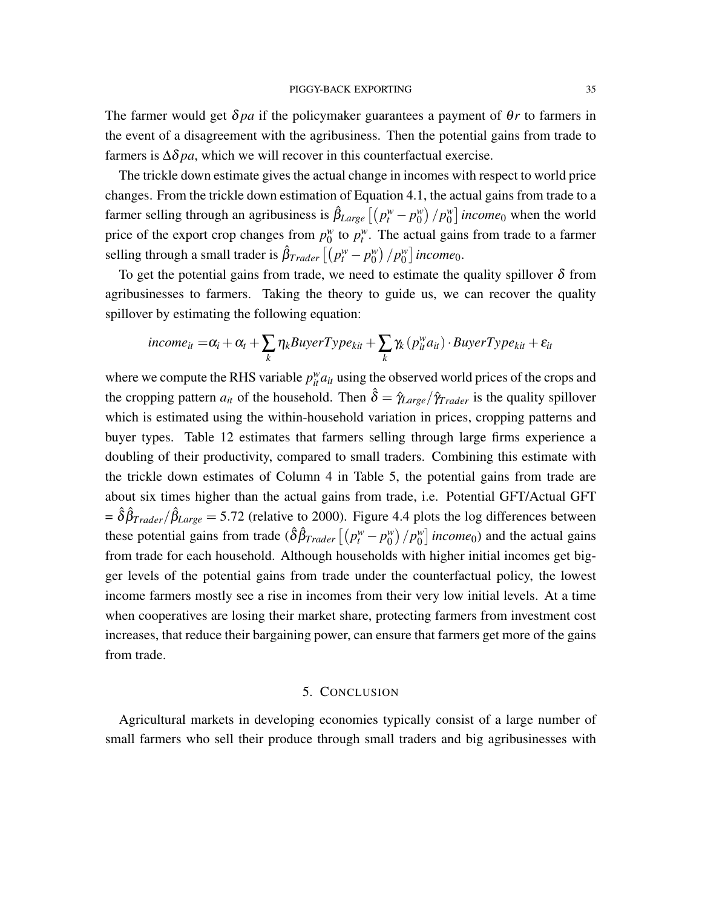The farmer would get  $\delta p a$  if the policymaker guarantees a payment of  $\theta r$  to farmers in the event of a disagreement with the agribusiness. Then the potential gains from trade to farmers is  $\Delta \delta p a$ , which we will recover in this counterfactual exercise.

The trickle down estimate gives the actual change in incomes with respect to world price changes. From the trickle down estimation of Equation 4.1, the actual gains from trade to a farmer selling through an agribusiness is  $\hat{\beta}_{Large} [(p_t^w - p_0^w$  $\binom{w}{0}$  /  $p_0^w$  $\binom{w}{0}$  *income*<sub>0</sub> when the world price of the export crop changes from  $p_0^w$  $p_l^w$  to  $p_l^w$ . The actual gains from trade to a farmer selling through a small trader is  $\hat{\beta}_{Trader} \left[ \left( p_t^w - p_0^w \right) \right]$  $\binom{w}{0}$  /  $p_0^w$  $_{0}^{w}]$  income<sub>0</sub>.

To get the potential gains from trade, we need to estimate the quality spillover  $\delta$  from agribusinesses to farmers. Taking the theory to guide us, we can recover the quality spillover by estimating the following equation:

$$
income_{it} = \alpha_i + \alpha_t + \sum_k \eta_k BuyerType_{kit} + \sum_k \gamma_k (p_{it}^wa_{it}) \cdot BuyerType_{kit} + \varepsilon_{it}
$$

where we compute the RHS variable  $p_{it}^{w} a_{it}$  using the observed world prices of the crops and the cropping pattern  $a_{it}$  of the household. Then  $\hat{\delta} = \hat{\gamma}_{Large} / \hat{\gamma}_{Trader}$  is the quality spillover which is estimated using the within-household variation in prices, cropping patterns and buyer types. Table 12 estimates that farmers selling through large firms experience a doubling of their productivity, compared to small traders. Combining this estimate with the trickle down estimates of Column 4 in Table 5, the potential gains from trade are about six times higher than the actual gains from trade, i.e. Potential GFT/Actual GFT  $=\hat{\delta}\hat{\beta}_{Trader}/\hat{\beta}_{Large} = 5.72$  (relative to 2000). Figure 4.4 plots the log differences between these potential gains from trade  $(\hat{\delta}\hat{\beta}_{Trade} [ (p_t^w - p_0^w$  $\binom{w}{0}$  /  $p_0^w$  $\binom{w}{0}$  *income*<sub>0</sub>) and the actual gains from trade for each household. Although households with higher initial incomes get bigger levels of the potential gains from trade under the counterfactual policy, the lowest income farmers mostly see a rise in incomes from their very low initial levels. At a time when cooperatives are losing their market share, protecting farmers from investment cost increases, that reduce their bargaining power, can ensure that farmers get more of the gains from trade.

#### 5. CONCLUSION

Agricultural markets in developing economies typically consist of a large number of small farmers who sell their produce through small traders and big agribusinesses with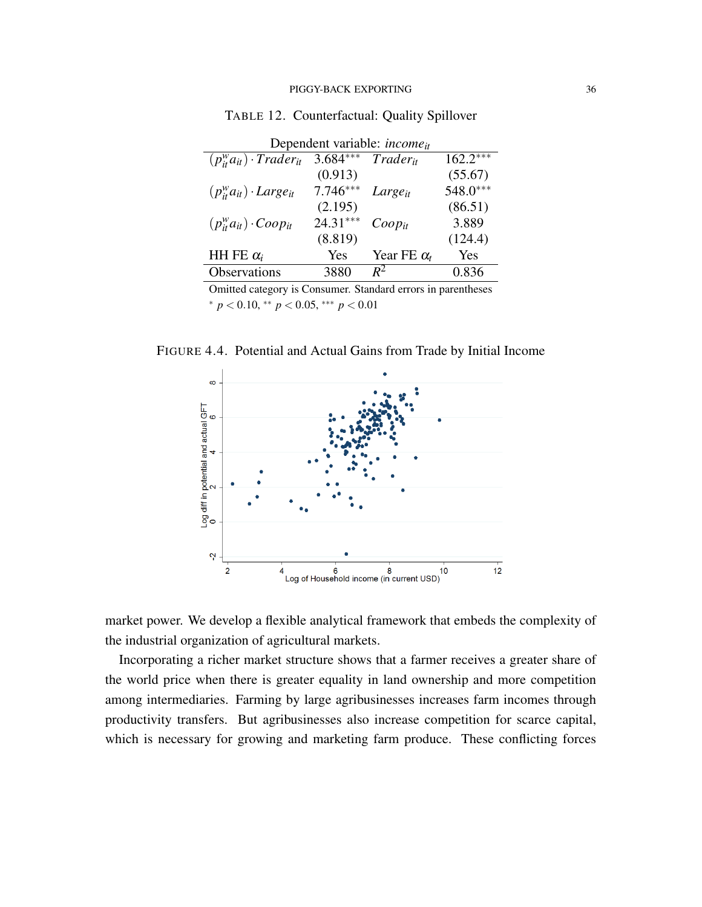| Dependent variable: <i>income</i> <sub>it</sub> |            |                    |            |  |  |  |
|-------------------------------------------------|------------|--------------------|------------|--|--|--|
| $(p_{it}^wa_{it})\cdot Trader_{it}$             | $3.684***$ | $T\,rader_{it}$    | $162.2***$ |  |  |  |
|                                                 | (0.913)    |                    | (55.67)    |  |  |  |
| $(p_{it}^wa_{it})\cdot Large_{it}$              | $7.746***$ | $Large_{it}$       | 548.0***   |  |  |  |
|                                                 | (2.195)    |                    | (86.51)    |  |  |  |
| $(p_{it}^wa_{it})$ $\cdot$ Coop <sub>it</sub>   | $24.31***$ | $Coop_{it}$        | 3.889      |  |  |  |
|                                                 | (8.819)    |                    | (124.4)    |  |  |  |
| HH FE $\alpha_i$                                | Yes        | Year FE $\alpha_t$ | Yes        |  |  |  |
| Observations                                    | 3880       | $R^2$              | 0.836      |  |  |  |

TABLE 12. Counterfactual: Quality Spillover

Omitted category is Consumer. Standard errors in parentheses <sup>∗</sup> *p* < 0.10, ∗∗ *p* < 0.05, ∗∗∗ *p* < 0.01

FIGURE 4.4. Potential and Actual Gains from Trade by Initial Income



market power. We develop a flexible analytical framework that embeds the complexity of the industrial organization of agricultural markets.

Incorporating a richer market structure shows that a farmer receives a greater share of the world price when there is greater equality in land ownership and more competition among intermediaries. Farming by large agribusinesses increases farm incomes through productivity transfers. But agribusinesses also increase competition for scarce capital, which is necessary for growing and marketing farm produce. These conflicting forces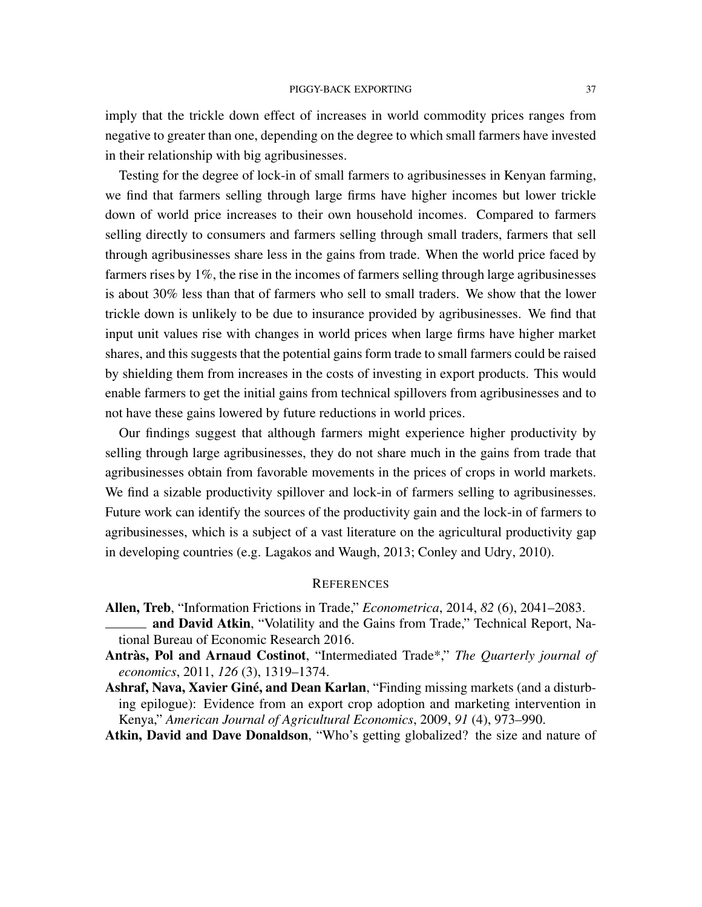imply that the trickle down effect of increases in world commodity prices ranges from negative to greater than one, depending on the degree to which small farmers have invested in their relationship with big agribusinesses.

Testing for the degree of lock-in of small farmers to agribusinesses in Kenyan farming, we find that farmers selling through large firms have higher incomes but lower trickle down of world price increases to their own household incomes. Compared to farmers selling directly to consumers and farmers selling through small traders, farmers that sell through agribusinesses share less in the gains from trade. When the world price faced by farmers rises by 1%, the rise in the incomes of farmers selling through large agribusinesses is about 30% less than that of farmers who sell to small traders. We show that the lower trickle down is unlikely to be due to insurance provided by agribusinesses. We find that input unit values rise with changes in world prices when large firms have higher market shares, and this suggests that the potential gains form trade to small farmers could be raised by shielding them from increases in the costs of investing in export products. This would enable farmers to get the initial gains from technical spillovers from agribusinesses and to not have these gains lowered by future reductions in world prices.

Our findings suggest that although farmers might experience higher productivity by selling through large agribusinesses, they do not share much in the gains from trade that agribusinesses obtain from favorable movements in the prices of crops in world markets. We find a sizable productivity spillover and lock-in of farmers selling to agribusinesses. Future work can identify the sources of the productivity gain and the lock-in of farmers to agribusinesses, which is a subject of a vast literature on the agricultural productivity gap in developing countries (e.g. Lagakos and Waugh, 2013; Conley and Udry, 2010).

## **REFERENCES**

- Allen, Treb, "Information Frictions in Trade," *Econometrica*, 2014, *82* (6), 2041–2083.
- **and David Atkin, "Volatility and the Gains from Trade," Technical Report, Na**tional Bureau of Economic Research 2016.
- Antràs, Pol and Arnaud Costinot, "Intermediated Trade\*," The Quarterly journal of *economics*, 2011, *126* (3), 1319–1374.
- Ashraf, Nava, Xavier Giné, and Dean Karlan, "Finding missing markets (and a disturbing epilogue): Evidence from an export crop adoption and marketing intervention in Kenya," *American Journal of Agricultural Economics*, 2009, *91* (4), 973–990.

Atkin, David and Dave Donaldson, "Who's getting globalized? the size and nature of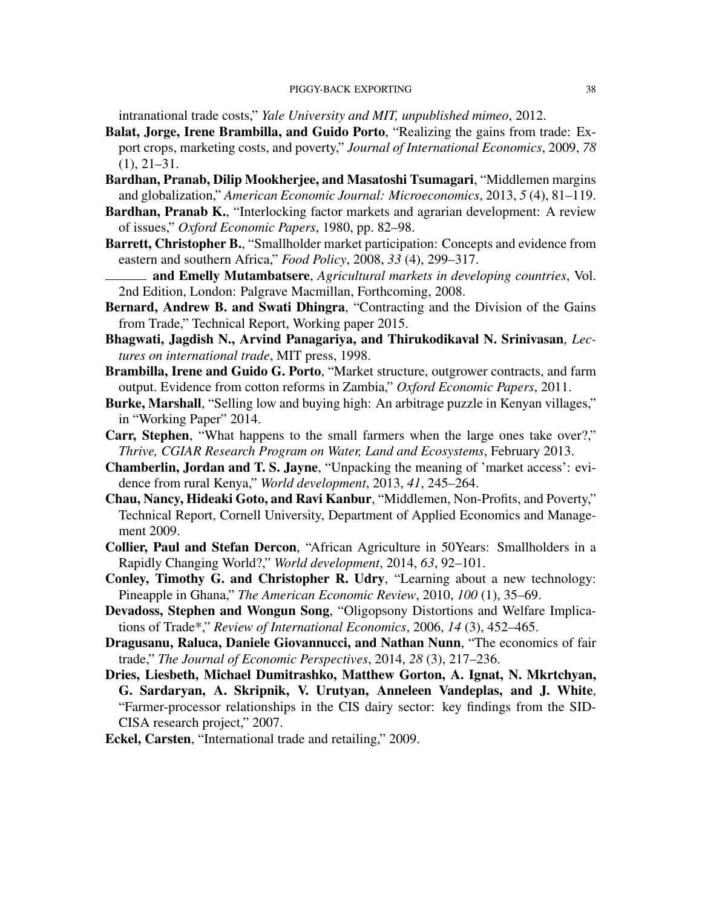intranational trade costs," *Yale University and MIT, unpublished mimeo*, 2012.

- Balat, Jorge, Irene Brambilla, and Guido Porto, "Realizing the gains from trade: Export crops, marketing costs, and poverty," *Journal of International Economics*, 2009, *78* (1), 21–31.
- Bardhan, Pranab, Dilip Mookherjee, and Masatoshi Tsumagari, "Middlemen margins and globalization," *American Economic Journal: Microeconomics*, 2013, *5* (4), 81–119.
- Bardhan, Pranab K., "Interlocking factor markets and agrarian development: A review of issues," *Oxford Economic Papers*, 1980, pp. 82–98.
- Barrett, Christopher B., "Smallholder market participation: Concepts and evidence from eastern and southern Africa," *Food Policy*, 2008, *33* (4), 299–317.
- and Emelly Mutambatsere, *Agricultural markets in developing countries*, Vol. 2nd Edition, London: Palgrave Macmillan, Forthcoming, 2008.
- Bernard, Andrew B. and Swati Dhingra, "Contracting and the Division of the Gains from Trade," Technical Report, Working paper 2015.
- Bhagwati, Jagdish N., Arvind Panagariya, and Thirukodikaval N. Srinivasan, *Lectures on international trade*, MIT press, 1998.
- Brambilla, Irene and Guido G. Porto, "Market structure, outgrower contracts, and farm output. Evidence from cotton reforms in Zambia," *Oxford Economic Papers*, 2011.
- Burke, Marshall, "Selling low and buying high: An arbitrage puzzle in Kenyan villages," in "Working Paper" 2014.
- Carr, Stephen, "What happens to the small farmers when the large ones take over?," *Thrive, CGIAR Research Program on Water, Land and Ecosystems*, February 2013.
- Chamberlin, Jordan and T. S. Jayne, "Unpacking the meaning of 'market access': evidence from rural Kenya," *World development*, 2013, *41*, 245–264.
- Chau, Nancy, Hideaki Goto, and Ravi Kanbur, "Middlemen, Non-Profits, and Poverty," Technical Report, Cornell University, Department of Applied Economics and Management 2009.
- Collier, Paul and Stefan Dercon, "African Agriculture in 50Years: Smallholders in a Rapidly Changing World?," *World development*, 2014, *63*, 92–101.
- Conley, Timothy G. and Christopher R. Udry, "Learning about a new technology: Pineapple in Ghana," *The American Economic Review*, 2010, *100* (1), 35–69.
- Devadoss, Stephen and Wongun Song, "Oligopsony Distortions and Welfare Implications of Trade\*," *Review of International Economics*, 2006, *14* (3), 452–465.
- Dragusanu, Raluca, Daniele Giovannucci, and Nathan Nunn, "The economics of fair trade," *The Journal of Economic Perspectives*, 2014, *28* (3), 217–236.
- Dries, Liesbeth, Michael Dumitrashko, Matthew Gorton, A. Ignat, N. Mkrtchyan, G. Sardaryan, A. Skripnik, V. Urutyan, Anneleen Vandeplas, and J. White, "Farmer-processor relationships in the CIS dairy sector: key findings from the SID-CISA research project," 2007.

Eckel, Carsten, "International trade and retailing," 2009.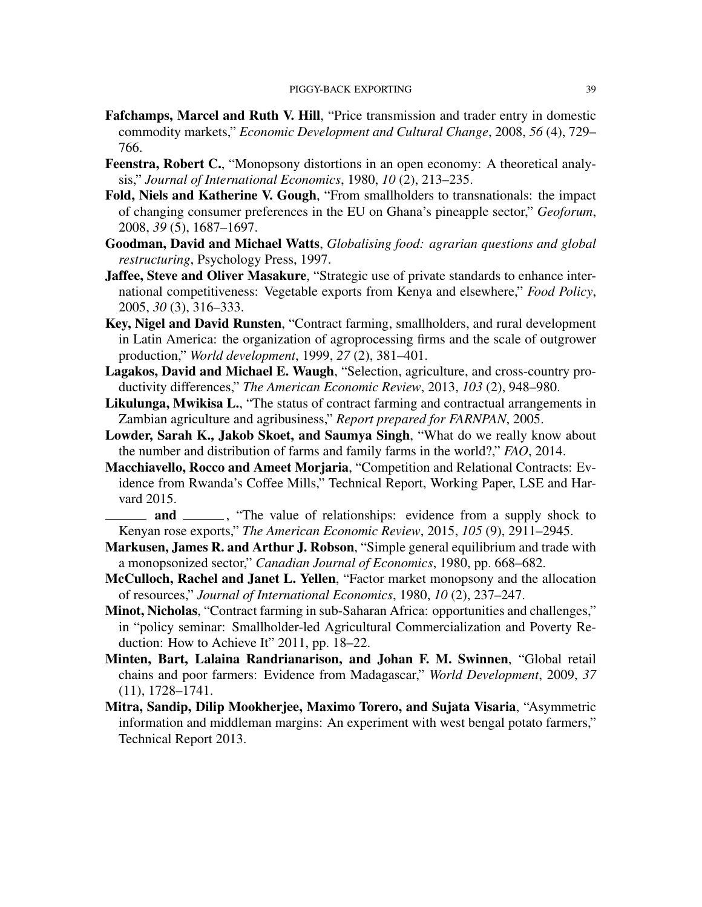- Fafchamps, Marcel and Ruth V. Hill, "Price transmission and trader entry in domestic commodity markets," *Economic Development and Cultural Change*, 2008, *56* (4), 729– 766.
- Feenstra, Robert C., "Monopsony distortions in an open economy: A theoretical analysis," *Journal of International Economics*, 1980, *10* (2), 213–235.
- Fold, Niels and Katherine V. Gough, "From smallholders to transnationals: the impact of changing consumer preferences in the EU on Ghana's pineapple sector," *Geoforum*, 2008, *39* (5), 1687–1697.
- Goodman, David and Michael Watts, *Globalising food: agrarian questions and global restructuring*, Psychology Press, 1997.
- Jaffee, Steve and Oliver Masakure, "Strategic use of private standards to enhance international competitiveness: Vegetable exports from Kenya and elsewhere," *Food Policy*, 2005, *30* (3), 316–333.
- Key, Nigel and David Runsten, "Contract farming, smallholders, and rural development in Latin America: the organization of agroprocessing firms and the scale of outgrower production," *World development*, 1999, *27* (2), 381–401.
- Lagakos, David and Michael E. Waugh, "Selection, agriculture, and cross-country productivity differences," *The American Economic Review*, 2013, *103* (2), 948–980.
- Likulunga, Mwikisa L., "The status of contract farming and contractual arrangements in Zambian agriculture and agribusiness," *Report prepared for FARNPAN*, 2005.
- Lowder, Sarah K., Jakob Skoet, and Saumya Singh, "What do we really know about the number and distribution of farms and family farms in the world?," *FAO*, 2014.
- Macchiavello, Rocco and Ameet Morjaria, "Competition and Relational Contracts: Evidence from Rwanda's Coffee Mills," Technical Report, Working Paper, LSE and Harvard 2015.
- and \_\_\_\_\_\_, "The value of relationships: evidence from a supply shock to Kenyan rose exports," *The American Economic Review*, 2015, *105* (9), 2911–2945.
- Markusen, James R. and Arthur J. Robson, "Simple general equilibrium and trade with a monopsonized sector," *Canadian Journal of Economics*, 1980, pp. 668–682.
- McCulloch, Rachel and Janet L. Yellen, "Factor market monopsony and the allocation of resources," *Journal of International Economics*, 1980, *10* (2), 237–247.
- Minot, Nicholas, "Contract farming in sub-Saharan Africa: opportunities and challenges," in "policy seminar: Smallholder-led Agricultural Commercialization and Poverty Reduction: How to Achieve It" 2011, pp. 18–22.
- Minten, Bart, Lalaina Randrianarison, and Johan F. M. Swinnen, "Global retail chains and poor farmers: Evidence from Madagascar," *World Development*, 2009, *37* (11), 1728–1741.
- Mitra, Sandip, Dilip Mookherjee, Maximo Torero, and Sujata Visaria, "Asymmetric information and middleman margins: An experiment with west bengal potato farmers," Technical Report 2013.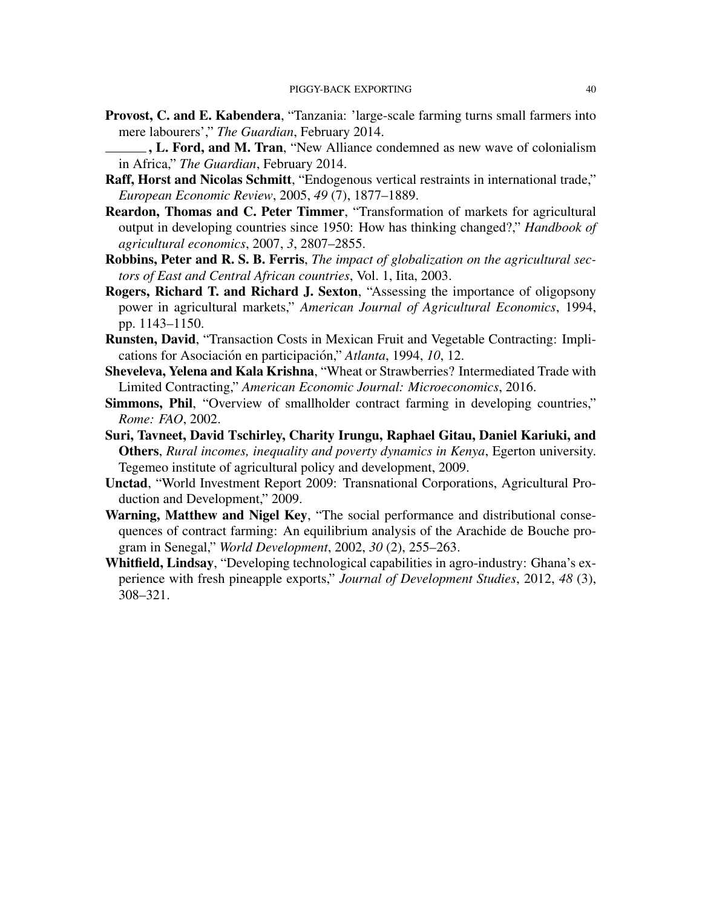- Provost, C. and E. Kabendera, "Tanzania: 'large-scale farming turns small farmers into mere labourers'," *The Guardian*, February 2014.
- ., L. Ford, and M. Tran, "New Alliance condemned as new wave of colonialism in Africa," *The Guardian*, February 2014.
- Raff, Horst and Nicolas Schmitt, "Endogenous vertical restraints in international trade," *European Economic Review*, 2005, *49* (7), 1877–1889.
- Reardon, Thomas and C. Peter Timmer, "Transformation of markets for agricultural output in developing countries since 1950: How has thinking changed?," *Handbook of agricultural economics*, 2007, *3*, 2807–2855.
- Robbins, Peter and R. S. B. Ferris, *The impact of globalization on the agricultural sectors of East and Central African countries*, Vol. 1, Iita, 2003.
- Rogers, Richard T. and Richard J. Sexton, "Assessing the importance of oligopsony power in agricultural markets," *American Journal of Agricultural Economics*, 1994, pp. 1143–1150.
- Runsten, David, "Transaction Costs in Mexican Fruit and Vegetable Contracting: Implications for Asociación en participación," *Atlanta*, 1994, *10*, 12.
- Sheveleva, Yelena and Kala Krishna, "Wheat or Strawberries? Intermediated Trade with Limited Contracting," *American Economic Journal: Microeconomics*, 2016.
- Simmons, Phil, "Overview of smallholder contract farming in developing countries," *Rome: FAO*, 2002.
- Suri, Tavneet, David Tschirley, Charity Irungu, Raphael Gitau, Daniel Kariuki, and Others, *Rural incomes, inequality and poverty dynamics in Kenya*, Egerton university. Tegemeo institute of agricultural policy and development, 2009.
- Unctad, "World Investment Report 2009: Transnational Corporations, Agricultural Production and Development," 2009.
- Warning, Matthew and Nigel Key, "The social performance and distributional consequences of contract farming: An equilibrium analysis of the Arachide de Bouche program in Senegal," *World Development*, 2002, *30* (2), 255–263.
- Whitfield, Lindsay, "Developing technological capabilities in agro-industry: Ghana's experience with fresh pineapple exports," *Journal of Development Studies*, 2012, *48* (3), 308–321.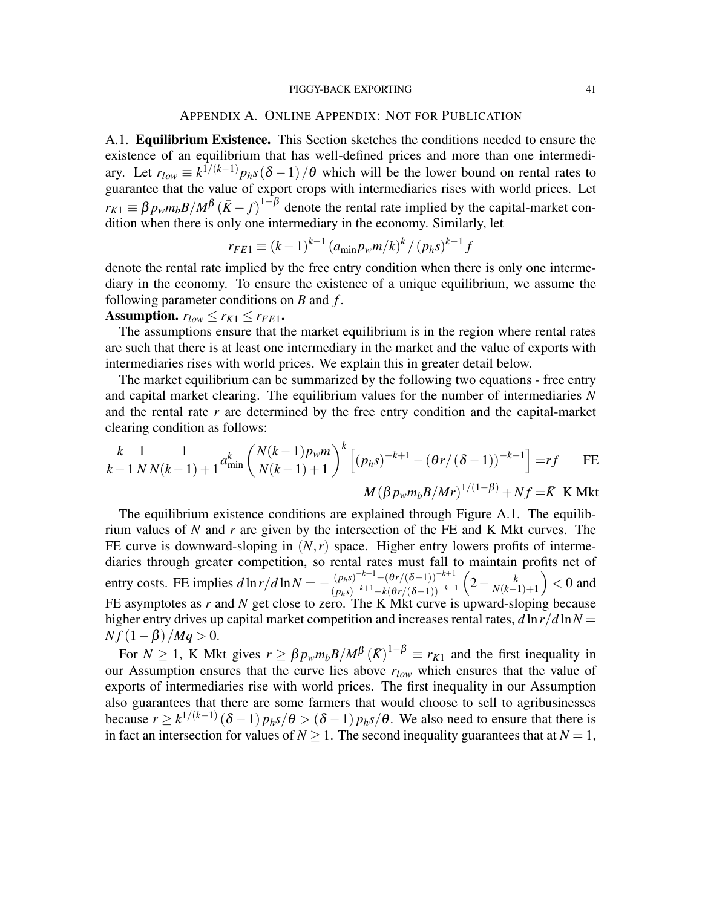### APPENDIX A. ONLINE APPENDIX: NOT FOR PUBLICATION

A.1. Equilibrium Existence. This Section sketches the conditions needed to ensure the existence of an equilibrium that has well-defined prices and more than one intermediary. Let  $r_{low} \equiv k^{1/(k-1)} p_h s(\delta - 1)/\theta$  which will be the lower bound on rental rates to guarantee that the value of export crops with intermediaries rises with world prices. Let  $r_{K1} \equiv \beta p_w m_b B / M^{\beta} (\bar{K} - f)^{1-\beta}$  denote the rental rate implied by the capital-market condition when there is only one intermediary in the economy. Similarly, let

$$
r_{FE1} \equiv (k-1)^{k-1} (a_{\min} p_w m/k)^k / (p_h s)^{k-1} f
$$

denote the rental rate implied by the free entry condition when there is only one intermediary in the economy. To ensure the existence of a unique equilibrium, we assume the following parameter conditions on *B* and *f* .

Assumption.  $r_{low} \leq r_{K1} \leq r_{FE1}$ .

The assumptions ensure that the market equilibrium is in the region where rental rates are such that there is at least one intermediary in the market and the value of exports with intermediaries rises with world prices. We explain this in greater detail below.

The market equilibrium can be summarized by the following two equations - free entry and capital market clearing. The equilibrium values for the number of intermediaries *N* and the rental rate *r* are determined by the free entry condition and the capital-market clearing condition as follows:

$$
\frac{k}{k-1} \frac{1}{N} \frac{1}{N(k-1)+1} a_{\min}^k \left( \frac{N(k-1)p_w m}{N(k-1)+1} \right)^k \left[ (p_h s)^{-k+1} - (\theta r / (\delta - 1))^{-k+1} \right] = rf \quad \text{FE}
$$
  

$$
M (\beta p_w m_b B / Mr)^{1/(1-\beta)} + Nf = \bar{K} \quad \text{K} \text{Mkt}
$$

The equilibrium existence conditions are explained through Figure A.1. The equilibrium values of *N* and *r* are given by the intersection of the FE and K Mkt curves. The FE curve is downward-sloping in  $(N, r)$  space. Higher entry lowers profits of intermediaries through greater competition, so rental rates must fall to maintain profits net of entry costs. FE implies  $d \ln r / d \ln N = -\frac{(p_h s)^{-k+1} - (\theta r / (\delta - 1))^{-k+1}}{(p_h s)^{-k+1} - (p_h s / (\delta - 1))^{-k+1}}$  $\overline{(p_h s)}^{-k+1} - k(\theta r/(\delta-1))^{-k+1}$  $\left(2-\frac{k}{N(k-1)}\right)$ *N*(*k*−1)+1  $\Big) < 0$  and FE asymptotes as *r* and *N* get close to zero. The K Mkt curve is upward-sloping because higher entry drives up capital market competition and increases rental rates,  $d \ln r / d \ln N =$ 

 $N f (1 - \beta) / Mq > 0.$ For  $N \ge 1$ , K Mkt gives  $r \ge \beta p_w m_b B/M^{\beta} (\bar{K})^{1-\beta} \equiv r_{K1}$  and the first inequality in our Assumption ensures that the curve lies above *rlow* which ensures that the value of exports of intermediaries rise with world prices. The first inequality in our Assumption also guarantees that there are some farmers that would choose to sell to agribusinesses because  $r \geq k^{1/(k-1)}(\delta-1)p_h s/\theta > (\delta-1)p_h s/\theta$ . We also need to ensure that there is

in fact an intersection for values of  $N \ge 1$ . The second inequality guarantees that at  $N = 1$ ,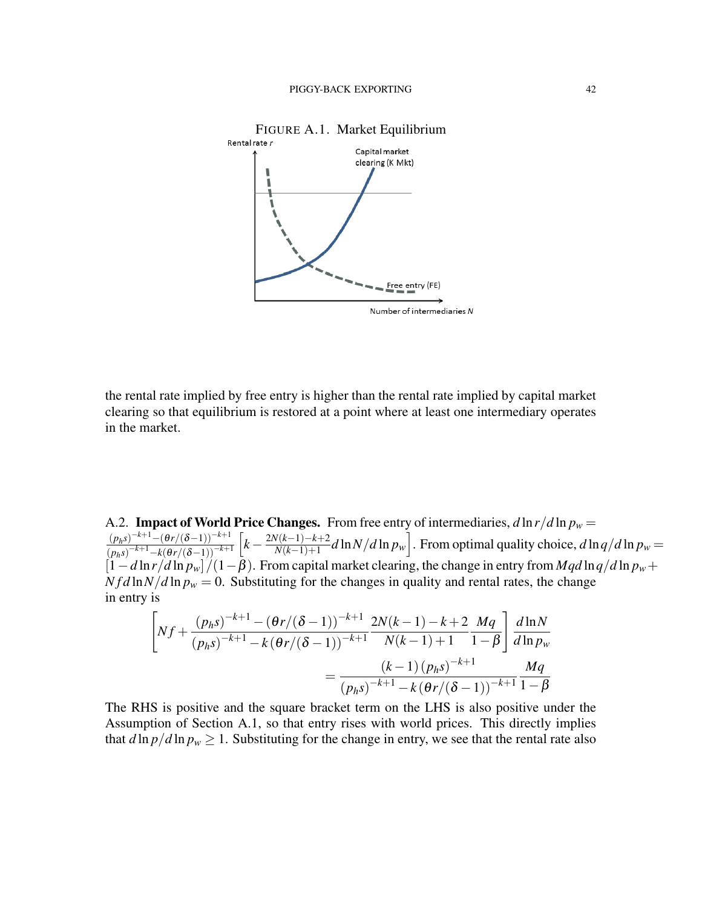

the rental rate implied by free entry is higher than the rental rate implied by capital market clearing so that equilibrium is restored at a point where at least one intermediary operates in the market.

A.2. **Impact of World Price Changes.** From free entry of intermediaries,  $d \ln r / d \ln p_w =$  $(p<sub>h</sub>s)$ <sup>-k+1</sup>−(θr/(δ−1))<sup>-k+1</sup>  $\sqrt{(p_h s)^{-k+1} - k(\theta r/(\delta-1))^{-k+1}}$  $k - \frac{2N(k-1)-k+2}{N(k-1)+1}$  $\frac{N(k-1)-k+2}{N(k-1)+1}d\ln N/d\ln p_w$ . From optimal quality choice,  $d\ln q/d\ln p_w = 0$  $[1-d\ln r/d\ln p_w]/(1-\beta)$ . From capital market clearing, the change in entry from *Mqd*  $\ln q/d\ln p_w$  +  $N f d \ln N / d \ln p_w = 0$ . Substituting for the changes in quality and rental rates, the change in entry is

$$
\left[Nf + \frac{(p_h s)^{-k+1} - (\theta r/(\delta - 1))^{-k+1}}{(p_h s)^{-k+1} - k(\theta r/(\delta - 1))^{-k+1}} \frac{2N(k-1) - k + 2}{N(k-1) + 1} \frac{Mq}{1 - \beta}\right] \frac{d\ln N}{d\ln p_w}
$$

$$
= \frac{(k-1) (p_h s)^{-k+1}}{(p_h s)^{-k+1} - k(\theta r/(\delta - 1))^{-k+1}} \frac{Mq}{1 - \beta}
$$

The RHS is positive and the square bracket term on the LHS is also positive under the Assumption of Section A.1, so that entry rises with world prices. This directly implies that  $d \ln p/d \ln p_w \ge 1$ . Substituting for the change in entry, we see that the rental rate also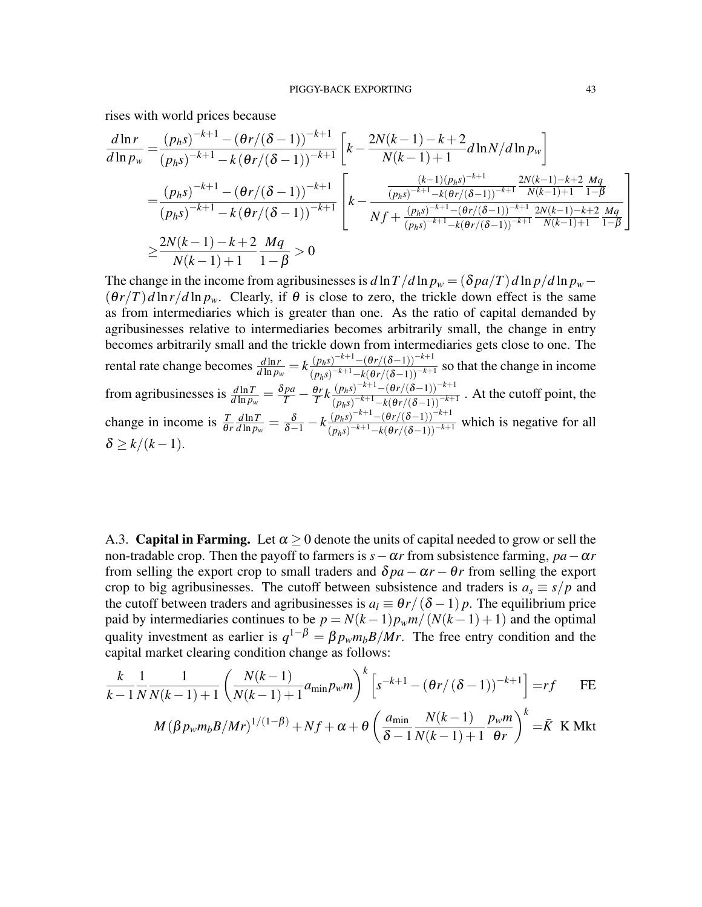rises with world prices because

$$
\frac{d\ln r}{d\ln p_w} = \frac{(p_h s)^{-k+1} - (\theta r/(\delta - 1))^{-k+1}}{(p_h s)^{-k+1} - k(\theta r/(\delta - 1))^{-k+1}} \left[ k - \frac{2N(k-1) - k + 2}{N(k-1) + 1} d\ln N/d\ln p_w \right]
$$
  
\n
$$
= \frac{(p_h s)^{-k+1} - (\theta r/(\delta - 1))^{-k+1}}{(p_h s)^{-k+1} - k(\theta r/(\delta - 1))^{-k+1}} \left[ k - \frac{\frac{(k-1)(p_h s)^{-k+1}}{(p_h s)^{-k+1} - k(\theta r/(\delta - 1))^{-k+1}} \frac{2N(k-1) - k + 2}{N(k-1) + 1} \frac{Mq}{1 - \beta}}{Nf + \frac{(p_h s)^{-k+1} - (\theta r/(\delta - 1))^{-k+1}}{(p_h s)^{-k+1} - k(\theta r/(\delta - 1))^{-k+1}} \frac{2N(k-1) - k + 2}{N(k-1) + 1} \frac{Mq}{1 - \beta}} \right]
$$
  
\n
$$
\geq \frac{2N(k-1) - k + 2}{N(k-1) + 1} \frac{Mq}{1 - \beta} > 0
$$

The change in the income from agribusinesses is  $d \ln T / d \ln p_w = (\delta p a / T) d \ln p / d \ln p_w (\theta r/T) d \ln r / d \ln p_w$ . Clearly, if  $\theta$  is close to zero, the trickle down effect is the same as from intermediaries which is greater than one. As the ratio of capital demanded by agribusinesses relative to intermediaries becomes arbitrarily small, the change in entry becomes arbitrarily small and the trickle down from intermediaries gets close to one. The  $d \ln r$  rental rate change becomes  $\frac{d \ln r}{d \ln p_w} = k \frac{(p_h s)^{-k+1} - (\theta r/(\delta - 1))^{-k+1}}{(p_h s)^{-k+1} - k(\theta r/(\delta - 1))^{-k+1}}$  $\frac{(p_h s)}{(p_h s)^{-k+1} - k(\theta r/(\delta-1))^{-k+1}}$  so that the change in income from agribusinesses is  $\frac{d \ln T}{d \ln p_w} = \frac{\delta p a}{T} - \frac{\theta r}{T} k \frac{(p_h s)^{-k+1} - (\theta r/(\delta-1))^{-k+1}}{(p_h s)^{-k+1} - k(\theta r/(\delta-1))^{-k+1}}$  $\frac{(p_h s)}{(p_h s)^{-k+1} - k(\theta r/(\delta - 1))^{-k+1}}$ . At the cutoff point, the change in income is  $\frac{T}{\theta r}$ *d* ln*T*  $\frac{d \ln T}{d \ln p_w} = \frac{\delta}{\delta - 1} - k \frac{(p_h s)^{-k+1} - (\theta r/(\delta - 1))^{-k+1}}{(p_h s)^{-k+1} - k(\theta r/(\delta - 1))^{-k+1}}$  $\frac{(p_h s)}{(p_h s)^{-k+1} - k(\theta r/(\delta-1))^{-k+1}}$  which is negative for all  $\delta \geq k/(k-1)$ .

A.3. **Capital in Farming.** Let  $\alpha > 0$  denote the units of capital needed to grow or sell the non-tradable crop. Then the payoff to farmers is  $s - \alpha r$  from subsistence farming,  $pa - \alpha r$ from selling the export crop to small traders and  $\delta pa - \alpha r - \theta r$  from selling the export crop to big agribusinesses. The cutoff between subsistence and traders is  $a_s \equiv s/p$  and the cutoff between traders and agribusinesses is  $a_l \equiv \theta r/(\delta - 1) p$ . The equilibrium price paid by intermediaries continues to be  $p = N(k-1)p_w m/(N(k-1)+1)$  and the optimal quality investment as earlier is  $q^{1-\beta} = \beta p_w m_b B/Mr$ . The free entry condition and the capital market clearing condition change as follows:

$$
\frac{k}{k-1} \frac{1}{N} \frac{1}{N(k-1)+1} \left( \frac{N(k-1)}{N(k-1)+1} a_{\min} p_w m \right)^k \left[ s^{-k+1} - \left( \theta r / (\delta - 1) \right)^{-k+1} \right] = rf \quad \text{FE}
$$

$$
M(\beta p_w m_b B/Mr)^{1/(1-\beta)} + Nf + \alpha + \theta \left(\frac{a_{\min}}{\delta - 1} \frac{N(k-1)}{N(k-1)+1} \frac{p_w m}{\theta r}\right)^k = \bar{K} \text{ K Mkt}
$$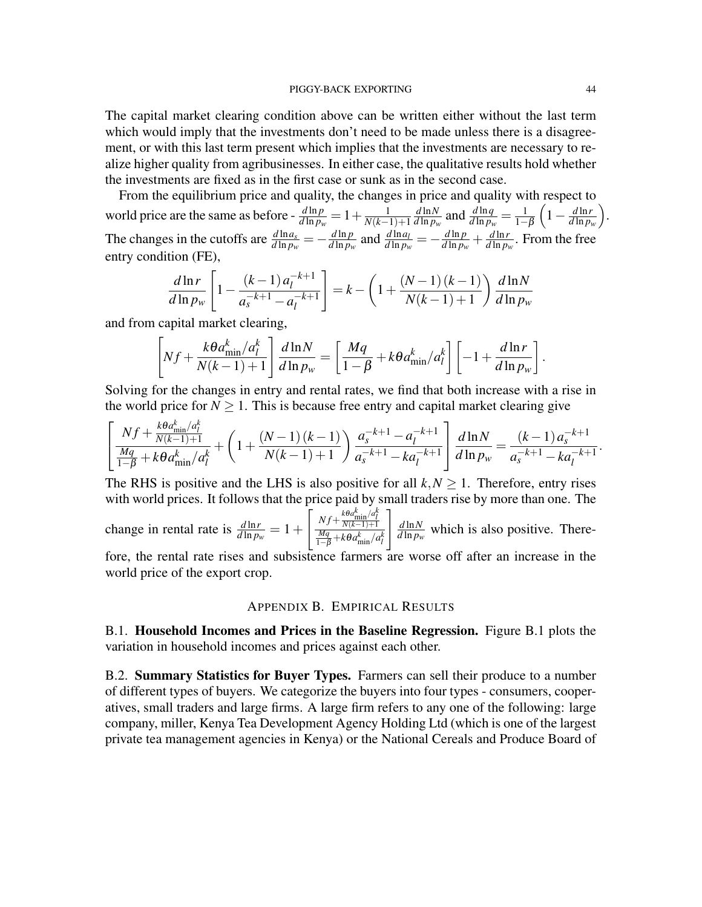The capital market clearing condition above can be written either without the last term which would imply that the investments don't need to be made unless there is a disagreement, or with this last term present which implies that the investments are necessary to realize higher quality from agribusinesses. In either case, the qualitative results hold whether the investments are fixed as in the first case or sunk as in the second case.

From the equilibrium price and quality, the changes in price and quality with respect to world price are the same as before -  $\frac{d \ln p}{d \ln p_w} = 1 + \frac{1}{N(k-1)}$ *N*(*k*−1)+1 *d* ln*N*  $\frac{d \ln N}{d \ln p_w}$  and  $\frac{d \ln q}{d \ln p_w} = \frac{1}{1-p}$  $1-\beta$  $\left(1-\frac{d\ln r}{d\ln n}\right]$ *d* ln *pw* . The changes in the cutoffs are  $\frac{d \ln a_s}{d \ln p_w} = -\frac{d \ln p}{d \ln p_v}$  $\frac{d \ln p}{d \ln p_w}$  and  $\frac{d \ln a_l}{d \ln p_w} = -\frac{d \ln p}{d \ln p_v}$  $\frac{d \ln p}{d \ln p_w} + \frac{d \ln r}{d \ln p_y}$  $\frac{d \ln r}{d \ln p_w}$ . From the free entry condition (FE),

$$
\frac{d\ln r}{d\ln p_w} \left[ 1 - \frac{(k-1)a_l^{-k+1}}{a_s^{-k+1} - a_l^{-k+1}} \right] = k - \left( 1 + \frac{(N-1)(k-1)}{N(k-1)+1} \right) \frac{d\ln N}{d\ln p_w}
$$

and from capital market clearing,

$$
\left[Nf + \frac{k\theta a_{\min}^k/a_l^k}{N(k-1)+1}\right] \frac{d\ln N}{d\ln p_w} = \left[\frac{Mq}{1-\beta} + k\theta a_{\min}^k/a_l^k\right] \left[-1 + \frac{d\ln r}{d\ln p_w}\right].
$$

Solving for the changes in entry and rental rates, we find that both increase with a rise in the world price for  $N \geq 1$ . This is because free entry and capital market clearing give

$$
\left[\frac{Nf + \frac{k\theta a_{\min}^k/a_l^k}{N(k-1)+1}}{\frac{Mq}{1-\beta} + k\theta a_{\min}^k/a_l^k} + \left(1 + \frac{(N-1)(k-1)}{N(k-1)+1}\right) \frac{a_s^{-k+1} - a_l^{-k+1}}{a_s^{-k+1} - ka_l^{-k+1}}\right] \frac{d\ln N}{d\ln p_w} = \frac{(k-1)a_s^{-k+1}}{a_s^{-k+1} - ka_l^{-k+1}}.
$$

The RHS is positive and the LHS is also positive for all  $k, N \geq 1$ . Therefore, entry rises with world prices. It follows that the price paid by small traders rise by more than one. The

change in rental rate is  $\frac{d \ln r}{d \ln p_w} = 1 +$  $\int \frac{Nf + \frac{k\theta a_{\min}^k/a_l^k}{N(k-1)+1}}{\frac{Mq}{1-\beta} + k\theta a_{\min}^k/a_l^k}$  $\int$   $d$  ln N  $\frac{d \ln N}{d \ln p_w}$  which is also positive. There-

fore, the rental rate rises and subsistence farmers are worse off after an increase in the world price of the export crop.

### APPENDIX B. EMPIRICAL RESULTS

B.1. Household Incomes and Prices in the Baseline Regression. Figure B.1 plots the variation in household incomes and prices against each other.

B.2. Summary Statistics for Buyer Types. Farmers can sell their produce to a number of different types of buyers. We categorize the buyers into four types - consumers, cooperatives, small traders and large firms. A large firm refers to any one of the following: large company, miller, Kenya Tea Development Agency Holding Ltd (which is one of the largest private tea management agencies in Kenya) or the National Cereals and Produce Board of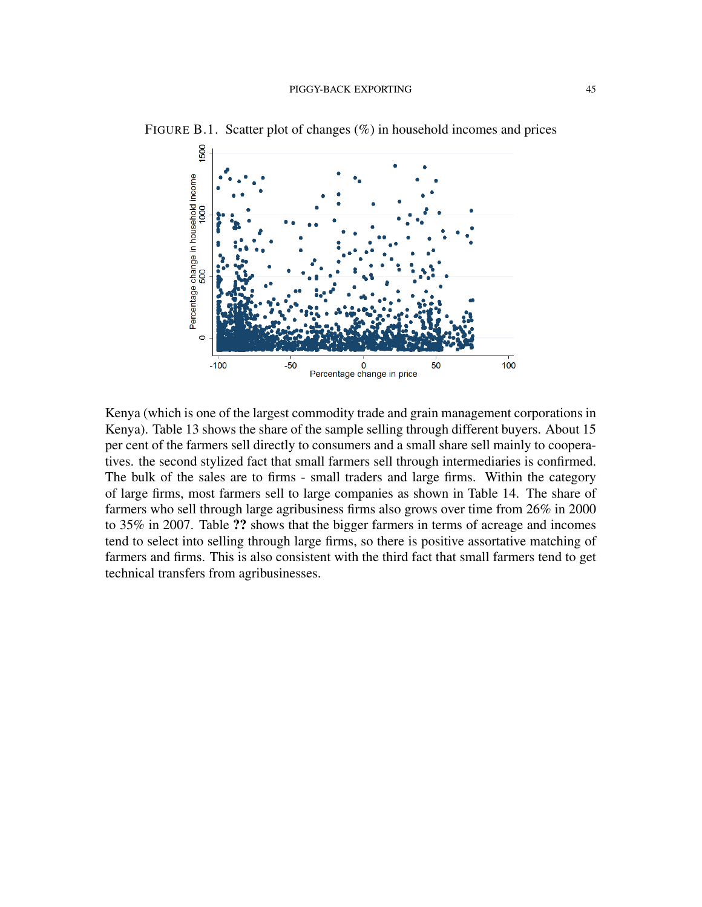

FIGURE B.1. Scatter plot of changes (%) in household incomes and prices

Kenya (which is one of the largest commodity trade and grain management corporations in Kenya). Table 13 shows the share of the sample selling through different buyers. About 15 per cent of the farmers sell directly to consumers and a small share sell mainly to cooperatives. the second stylized fact that small farmers sell through intermediaries is confirmed. The bulk of the sales are to firms - small traders and large firms. Within the category of large firms, most farmers sell to large companies as shown in Table 14. The share of farmers who sell through large agribusiness firms also grows over time from 26% in 2000 to 35% in 2007. Table ?? shows that the bigger farmers in terms of acreage and incomes tend to select into selling through large firms, so there is positive assortative matching of farmers and firms. This is also consistent with the third fact that small farmers tend to get technical transfers from agribusinesses.